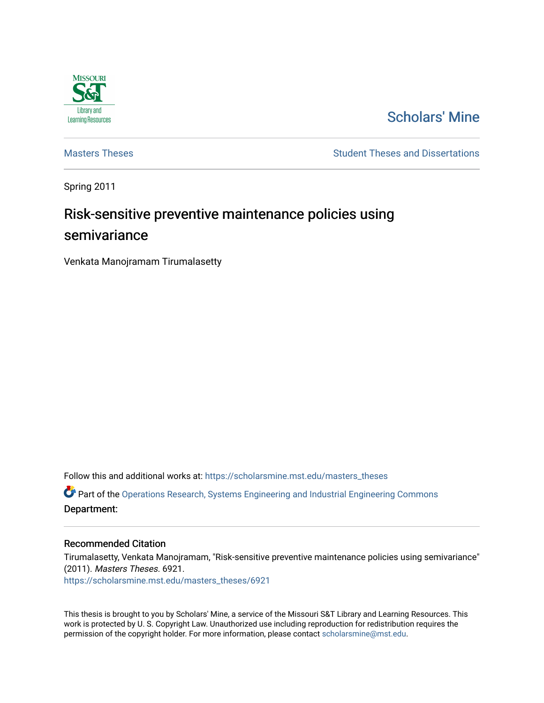

# [Scholars' Mine](https://scholarsmine.mst.edu/)

[Masters Theses](https://scholarsmine.mst.edu/masters_theses) **Student Theses and Dissertations** Student Theses and Dissertations

Spring 2011

# Risk-sensitive preventive maintenance policies using semivariance

Venkata Manojramam Tirumalasetty

Follow this and additional works at: [https://scholarsmine.mst.edu/masters\\_theses](https://scholarsmine.mst.edu/masters_theses?utm_source=scholarsmine.mst.edu%2Fmasters_theses%2F6921&utm_medium=PDF&utm_campaign=PDFCoverPages) 

 $\bullet$  Part of the [Operations Research, Systems Engineering and Industrial Engineering Commons](http://network.bepress.com/hgg/discipline/305?utm_source=scholarsmine.mst.edu%2Fmasters_theses%2F6921&utm_medium=PDF&utm_campaign=PDFCoverPages) Department:

#### Recommended Citation

Tirumalasetty, Venkata Manojramam, "Risk-sensitive preventive maintenance policies using semivariance" (2011). Masters Theses. 6921. [https://scholarsmine.mst.edu/masters\\_theses/6921](https://scholarsmine.mst.edu/masters_theses/6921?utm_source=scholarsmine.mst.edu%2Fmasters_theses%2F6921&utm_medium=PDF&utm_campaign=PDFCoverPages) 

This thesis is brought to you by Scholars' Mine, a service of the Missouri S&T Library and Learning Resources. This work is protected by U. S. Copyright Law. Unauthorized use including reproduction for redistribution requires the permission of the copyright holder. For more information, please contact [scholarsmine@mst.edu](mailto:scholarsmine@mst.edu).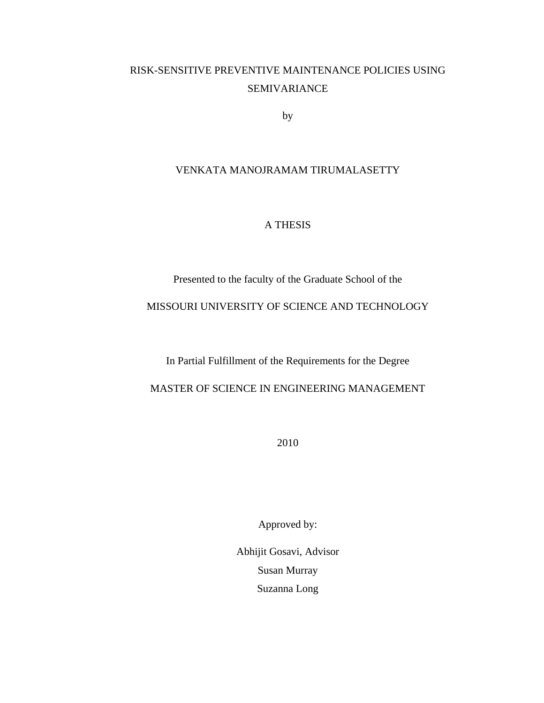# RISK-SENSITIVE PREVENTIVE MAINTENANCE POLICIES USING SEMIVARIANCE

by

#### VENKATA MANOJRAMAM TIRUMALASETTY

#### A THESIS

Presented to the faculty of the Graduate School of the

### MISSOURI UNIVERSITY OF SCIENCE AND TECHNOLOGY

In Partial Fulfillment of the Requirements for the Degree

MASTER OF SCIENCE IN ENGINEERING MANAGEMENT

2010

Approved by:

Abhijit Gosavi, Advisor Susan Murray Suzanna Long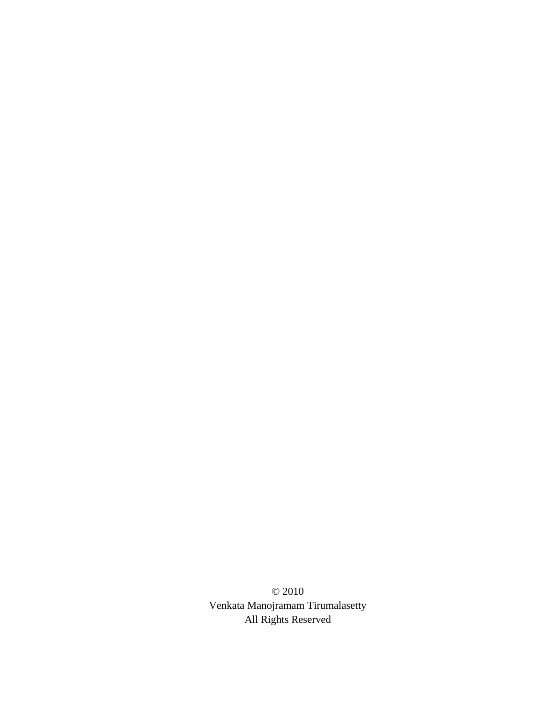© 2010 Venkata Manojramam Tirumalasetty All Rights Reserved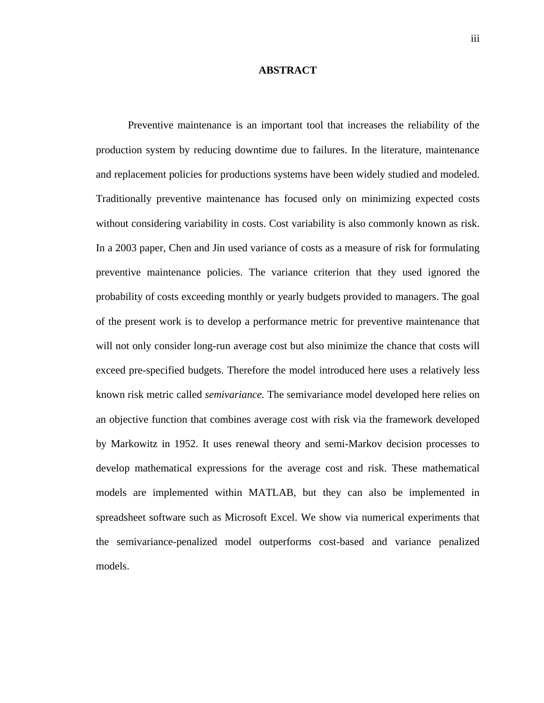#### **ABSTRACT**

<span id="page-4-0"></span>Preventive maintenance is an important tool that increases the reliability of the production system by reducing downtime due to failures. In the literature, maintenance and replacement policies for productions systems have been widely studied and modeled. Traditionally preventive maintenance has focused only on minimizing expected costs without considering variability in costs. Cost variability is also commonly known as risk. In a 2003 paper, Chen and Jin used variance of costs as a measure of risk for formulating preventive maintenance policies. The variance criterion that they used ignored the probability of costs exceeding monthly or yearly budgets provided to managers. The goal of the present work is to develop a performance metric for preventive maintenance that will not only consider long-run average cost but also minimize the chance that costs will exceed pre-specified budgets. Therefore the model introduced here uses a relatively less known risk metric called *semivariance.* The semivariance model developed here relies on an objective function that combines average cost with risk via the framework developed by Markowitz in 1952. It uses renewal theory and semi-Markov decision processes to develop mathematical expressions for the average cost and risk. These mathematical models are implemented within MATLAB, but they can also be implemented in spreadsheet software such as Microsoft Excel. We show via numerical experiments that the semivariance-penalized model outperforms cost-based and variance penalized models.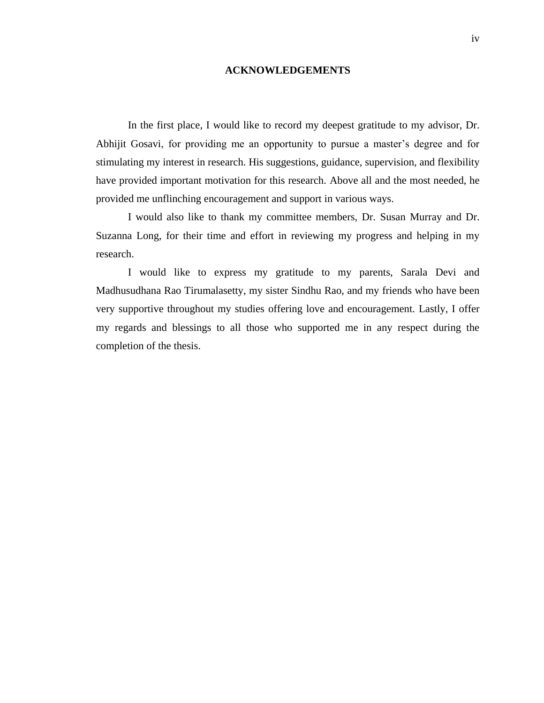#### **ACKNOWLEDGEMENTS**

<span id="page-5-0"></span>In the first place, I would like to record my deepest gratitude to my advisor, Dr. Abhijit Gosavi, for providing me an opportunity to pursue a master's degree and for stimulating my interest in research. His suggestions, guidance, supervision, and flexibility have provided important motivation for this research. Above all and the most needed, he provided me unflinching encouragement and support in various ways.

I would also like to thank my committee members, Dr. Susan Murray and Dr. Suzanna Long, for their time and effort in reviewing my progress and helping in my research.

I would like to express my gratitude to my parents, Sarala Devi and Madhusudhana Rao Tirumalasetty, my sister Sindhu Rao, and my friends who have been very supportive throughout my studies offering love and encouragement. Lastly, I offer my regards and blessings to all those who supported me in any respect during the completion of the thesis.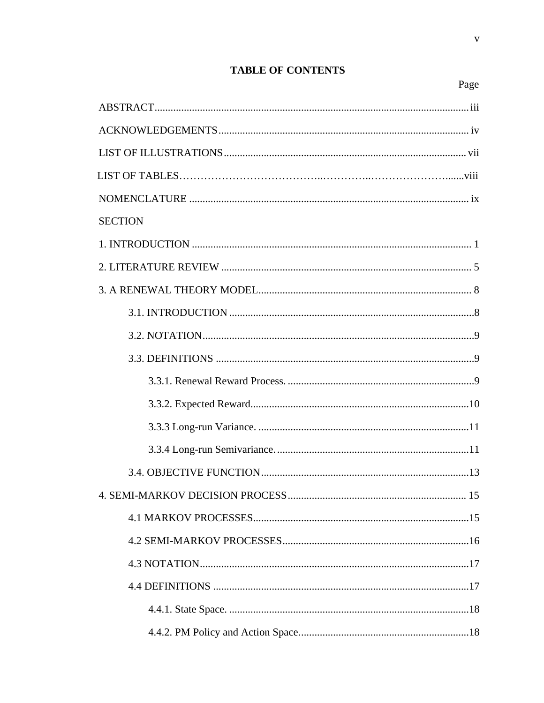# **SECTION** 1 INTRODUCTION 1  $32.$  NOTATION  $\qquad \qquad \qquad$  9

#### **TABLE OF CONTENTS**

Page

 $\mathbf{V}$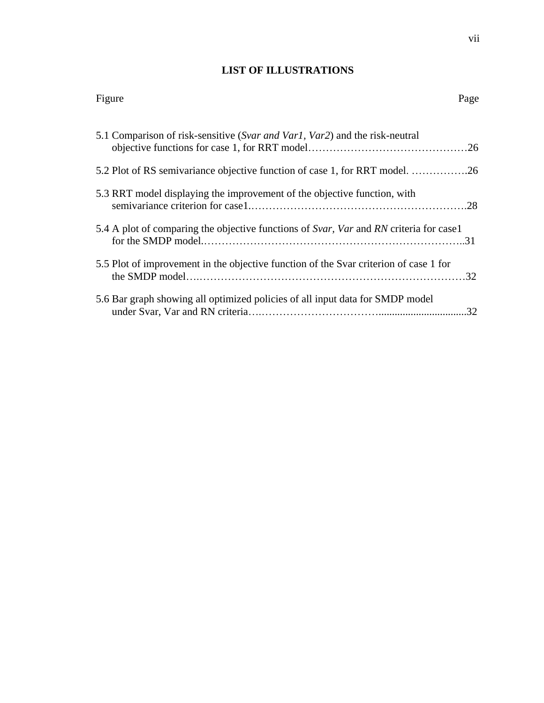# **LIST OF ILLUSTRATIONS**

<span id="page-8-0"></span>

| Figure                                                                                 | Page |
|----------------------------------------------------------------------------------------|------|
| 5.1 Comparison of risk-sensitive (Svar and Varl, Var2) and the risk-neutral            |      |
| 5.2 Plot of RS semivariance objective function of case 1, for RRT model. 26            |      |
| 5.3 RRT model displaying the improvement of the objective function, with               |      |
| 5.4 A plot of comparing the objective functions of Svar, Var and RN criteria for case1 |      |
| 5.5 Plot of improvement in the objective function of the Svar criterion of case 1 for  |      |
| 5.6 Bar graph showing all optimized policies of all input data for SMDP model          |      |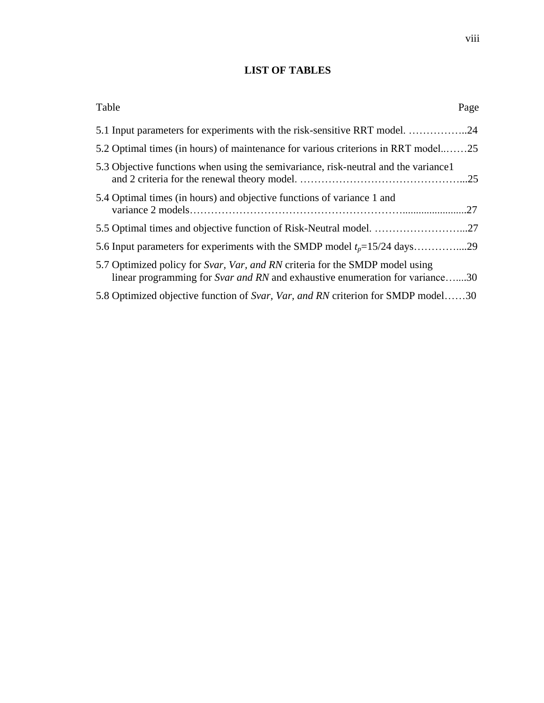# **LIST OF TABLES**

<span id="page-9-0"></span>

| Table                                                                                                                                                        | Page |
|--------------------------------------------------------------------------------------------------------------------------------------------------------------|------|
| 5.1 Input parameters for experiments with the risk-sensitive RRT model. 24                                                                                   |      |
| 5.2 Optimal times (in hours) of maintenance for various criterions in RRT mode25                                                                             |      |
| 5.3 Objective functions when using the semivariance, risk-neutral and the variance 1                                                                         |      |
| 5.4 Optimal times (in hours) and objective functions of variance 1 and                                                                                       | .27  |
|                                                                                                                                                              |      |
|                                                                                                                                                              |      |
| 5.7 Optimized policy for Svar, Var, and RN criteria for the SMDP model using<br>linear programming for Svar and RN and exhaustive enumeration for variance30 |      |
| 5.8 Optimized objective function of Svar, Var, and RN criterion for SMDP model30                                                                             |      |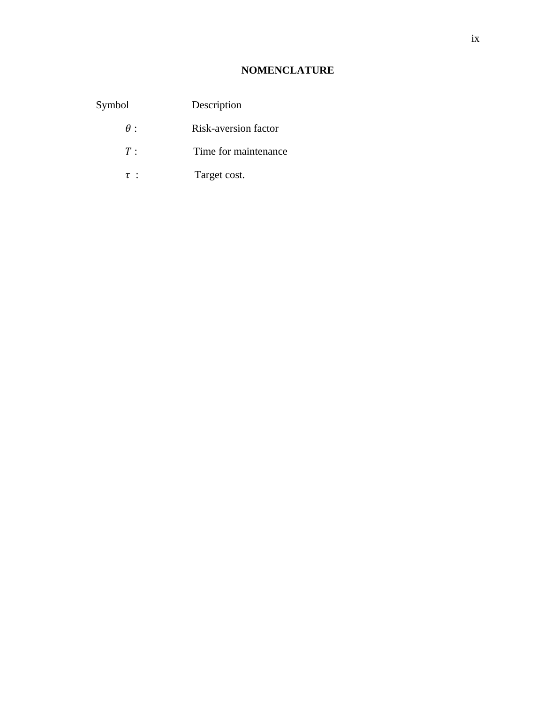# **NOMENCLATURE**

<span id="page-10-0"></span>

| Symbol     | Description                 |
|------------|-----------------------------|
| $\theta$ : | <b>Risk-aversion factor</b> |
| T:         | Time for maintenance        |
| $\tau$ :   | Target cost.                |
|            |                             |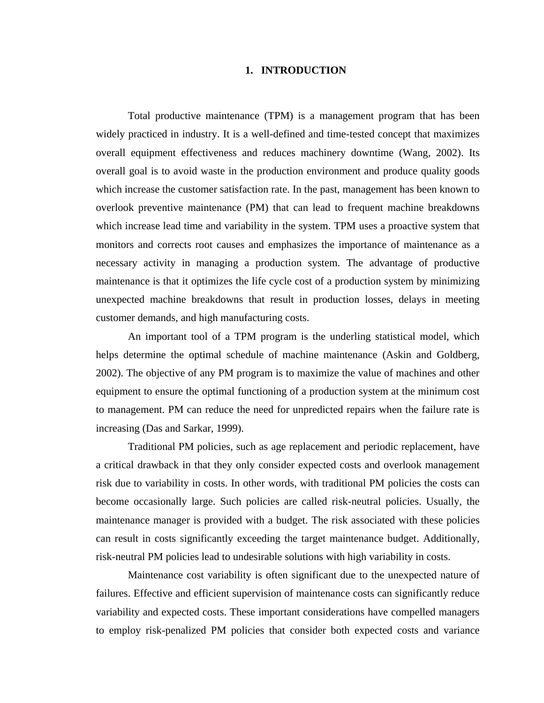#### **1. INTRODUCTION**

<span id="page-11-0"></span>Total productive maintenance (TPM) is a management program that has been widely practiced in industry. It is a well-defined and time-tested concept that maximizes overall equipment effectiveness and reduces machinery downtime (Wang, 2002). Its overall goal is to avoid waste in the production environment and produce quality goods which increase the customer satisfaction rate. In the past, management has been known to overlook preventive maintenance (PM) that can lead to frequent machine breakdowns which increase lead time and variability in the system. TPM uses a proactive system that monitors and corrects root causes and emphasizes the importance of maintenance as a necessary activity in managing a production system. The advantage of productive maintenance is that it optimizes the life cycle cost of a production system by minimizing unexpected machine breakdowns that result in production losses, delays in meeting customer demands, and high manufacturing costs.

An important tool of a TPM program is the underling statistical model, which helps determine the optimal schedule of machine maintenance (Askin and Goldberg, 2002). The objective of any PM program is to maximize the value of machines and other equipment to ensure the optimal functioning of a production system at the minimum cost to management. PM can reduce the need for unpredicted repairs when the failure rate is increasing (Das and Sarkar, 1999).

Traditional PM policies, such as age replacement and periodic replacement, have a critical drawback in that they only consider expected costs and overlook management risk due to variability in costs. In other words, with traditional PM policies the costs can become occasionally large. Such policies are called risk-neutral policies. Usually, the maintenance manager is provided with a budget. The risk associated with these policies can result in costs significantly exceeding the target maintenance budget. Additionally, risk-neutral PM policies lead to undesirable solutions with high variability in costs.

Maintenance cost variability is often significant due to the unexpected nature of failures. Effective and efficient supervision of maintenance costs can significantly reduce variability and expected costs. These important considerations have compelled managers to employ risk-penalized PM policies that consider both expected costs and variance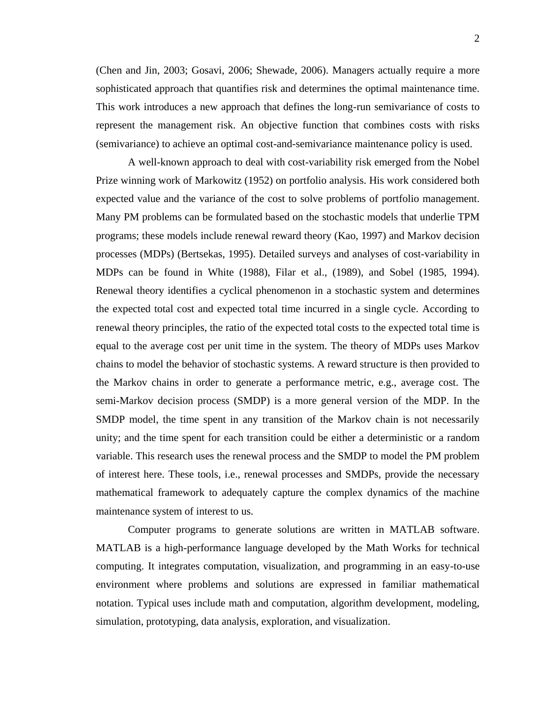(Chen and Jin, 2003; Gosavi, 2006; Shewade, 2006). Managers actually require a more sophisticated approach that quantifies risk and determines the optimal maintenance time. This work introduces a new approach that defines the long-run semivariance of costs to represent the management risk. An objective function that combines costs with risks (semivariance) to achieve an optimal cost-and-semivariance maintenance policy is used.

A well-known approach to deal with cost-variability risk emerged from the Nobel Prize winning work of Markowitz (1952) on portfolio analysis. His work considered both expected value and the variance of the cost to solve problems of portfolio management. Many PM problems can be formulated based on the stochastic models that underlie TPM programs; these models include renewal reward theory (Kao, 1997) and Markov decision processes (MDPs) (Bertsekas, 1995). Detailed surveys and analyses of cost-variability in MDPs can be found in White (1988), Filar et al., (1989), and Sobel (1985, 1994). Renewal theory identifies a cyclical phenomenon in a stochastic system and determines the expected total cost and expected total time incurred in a single cycle. According to renewal theory principles, the ratio of the expected total costs to the expected total time is equal to the average cost per unit time in the system. The theory of MDPs uses Markov chains to model the behavior of stochastic systems. A reward structure is then provided to the Markov chains in order to generate a performance metric, e.g., average cost. The semi-Markov decision process (SMDP) is a more general version of the MDP. In the SMDP model, the time spent in any transition of the Markov chain is not necessarily unity; and the time spent for each transition could be either a deterministic or a random variable. This research uses the renewal process and the SMDP to model the PM problem of interest here. These tools, i.e., renewal processes and SMDPs, provide the necessary mathematical framework to adequately capture the complex dynamics of the machine maintenance system of interest to us.

Computer programs to generate solutions are written in MATLAB software. MATLAB is a high-performance language developed by the Math Works for technical computing. It integrates computation, visualization, and programming in an easy-to-use environment where problems and solutions are expressed in familiar mathematical notation. Typical uses include math and computation, algorithm development, modeling, simulation, prototyping, data analysis, exploration, and visualization.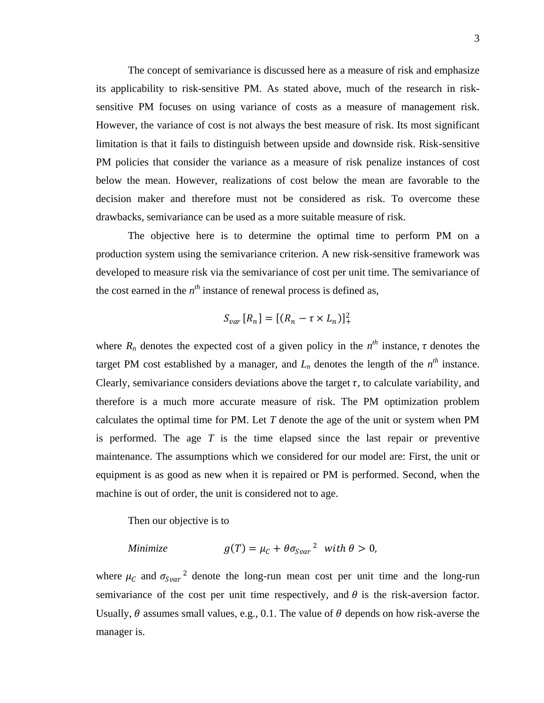The concept of semivariance is discussed here as a measure of risk and emphasize its applicability to risk-sensitive PM. As stated above, much of the research in risksensitive PM focuses on using variance of costs as a measure of management risk. However, the variance of cost is not always the best measure of risk. Its most significant limitation is that it fails to distinguish between upside and downside risk. Risk-sensitive PM policies that consider the variance as a measure of risk penalize instances of cost below the mean. However, realizations of cost below the mean are favorable to the decision maker and therefore must not be considered as risk. To overcome these drawbacks, semivariance can be used as a more suitable measure of risk.

The objective here is to determine the optimal time to perform PM on a production system using the semivariance criterion. A new risk-sensitive framework was developed to measure risk via the semivariance of cost per unit time. The semivariance of the cost earned in the  $n<sup>th</sup>$  instance of renewal process is defined as,

$$
S_{var}[R_n] = [(R_n - \tau \times L_n)]_+^2
$$

where  $R_n$  denotes the expected cost of a given policy in the  $n^{th}$  instance,  $\tau$  denotes the target PM cost established by a manager, and  $L_n$  denotes the length of the  $n^{th}$  instance. Clearly, semivariance considers deviations above the target  $\tau$ , to calculate variability, and therefore is a much more accurate measure of risk. The PM optimization problem calculates the optimal time for PM. Let *T* denote the age of the unit or system when PM is performed. The age *T* is the time elapsed since the last repair or preventive maintenance. The assumptions which we considered for our model are: First, the unit or equipment is as good as new when it is repaired or PM is performed. Second, when the machine is out of order, the unit is considered not to age.

Then our objective is to

Minimize 
$$
g(T) = \mu_C + \theta \sigma_{Svar}^2
$$
 with  $\theta > 0$ ,

where  $\mu_c$  and  $\sigma_{Svar}^2$  denote the long-run mean cost per unit time and the long-run semivariance of the cost per unit time respectively, and  $\theta$  is the risk-aversion factor. Usually,  $\theta$  assumes small values, e.g., 0.1. The value of  $\theta$  depends on how risk-averse the manager is.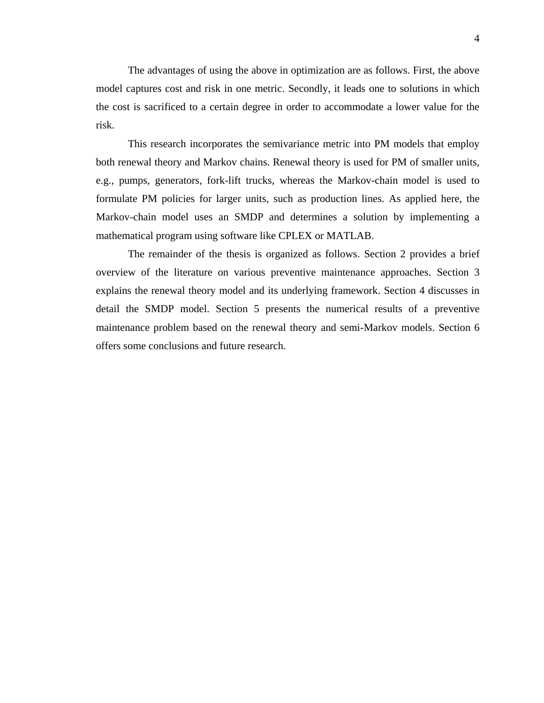The advantages of using the above in optimization are as follows. First, the above model captures cost and risk in one metric. Secondly, it leads one to solutions in which the cost is sacrificed to a certain degree in order to accommodate a lower value for the risk.

This research incorporates the semivariance metric into PM models that employ both renewal theory and Markov chains. Renewal theory is used for PM of smaller units, e.g., pumps, generators, fork-lift trucks, whereas the Markov-chain model is used to formulate PM policies for larger units, such as production lines. As applied here, the Markov-chain model uses an SMDP and determines a solution by implementing a mathematical program using software like CPLEX or MATLAB.

The remainder of the thesis is organized as follows. Section 2 provides a brief overview of the literature on various preventive maintenance approaches. Section 3 explains the renewal theory model and its underlying framework. Section 4 discusses in detail the SMDP model. Section 5 presents the numerical results of a preventive maintenance problem based on the renewal theory and semi-Markov models. Section 6 offers some conclusions and future research.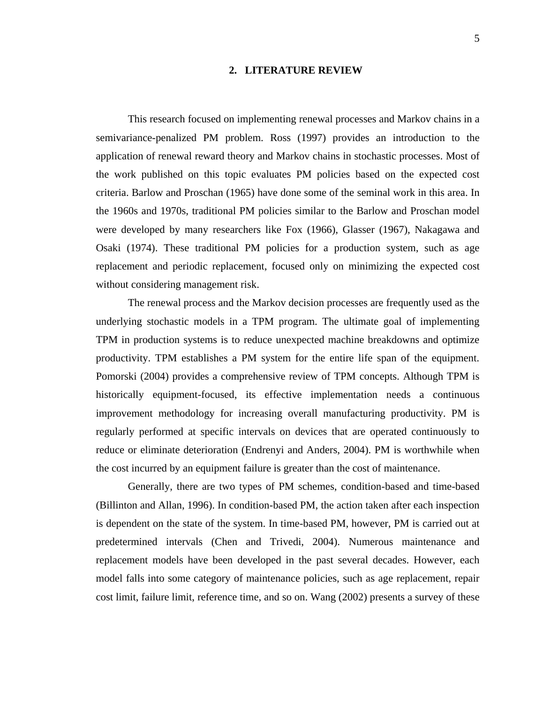#### **2. LITERATURE REVIEW**

<span id="page-15-0"></span>This research focused on implementing renewal processes and Markov chains in a semivariance-penalized PM problem. Ross (1997) provides an introduction to the application of renewal reward theory and Markov chains in stochastic processes. Most of the work published on this topic evaluates PM policies based on the expected cost criteria. Barlow and Proschan (1965) have done some of the seminal work in this area. In the 1960s and 1970s, traditional PM policies similar to the Barlow and Proschan model were developed by many researchers like Fox (1966), Glasser (1967), Nakagawa and Osaki (1974). These traditional PM policies for a production system, such as age replacement and periodic replacement, focused only on minimizing the expected cost without considering management risk.

The renewal process and the Markov decision processes are frequently used as the underlying stochastic models in a TPM program. The ultimate goal of implementing TPM in production systems is to reduce unexpected machine breakdowns and optimize productivity. TPM establishes a PM system for the entire life span of the equipment. Pomorski (2004) provides a comprehensive review of TPM concepts. Although TPM is historically equipment-focused, its effective implementation needs a continuous improvement methodology for increasing overall manufacturing productivity. PM is regularly performed at specific intervals on devices that are operated continuously to reduce or eliminate deterioration (Endrenyi and Anders, 2004). PM is worthwhile when the cost incurred by an equipment failure is greater than the cost of maintenance.

Generally, there are two types of PM schemes, condition-based and time-based (Billinton and Allan, 1996). In condition-based PM, the action taken after each inspection is dependent on the state of the system. In time-based PM, however, PM is carried out at predetermined intervals (Chen and Trivedi, 2004). Numerous maintenance and replacement models have been developed in the past several decades. However, each model falls into some category of maintenance policies, such as age replacement, repair cost limit, failure limit, reference time, and so on. Wang (2002) presents a survey of these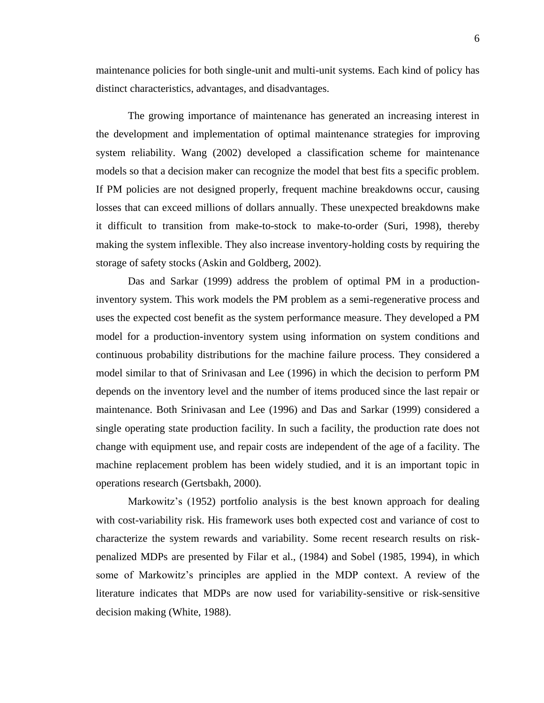maintenance policies for both single-unit and multi-unit systems. Each kind of policy has distinct characteristics, advantages, and disadvantages.

The growing importance of maintenance has generated an increasing interest in the development and implementation of optimal maintenance strategies for improving system reliability. Wang (2002) developed a classification scheme for maintenance models so that a decision maker can recognize the model that best fits a specific problem. If PM policies are not designed properly, frequent machine breakdowns occur, causing losses that can exceed millions of dollars annually. These unexpected breakdowns make it difficult to transition from make-to-stock to make-to-order (Suri, 1998), thereby making the system inflexible. They also increase inventory-holding costs by requiring the storage of safety stocks (Askin and Goldberg, 2002).

Das and Sarkar (1999) address the problem of optimal PM in a productioninventory system. This work models the PM problem as a semi-regenerative process and uses the expected cost benefit as the system performance measure. They developed a PM model for a production-inventory system using information on system conditions and continuous probability distributions for the machine failure process. They considered a model similar to that of Srinivasan and Lee (1996) in which the decision to perform PM depends on the inventory level and the number of items produced since the last repair or maintenance. Both Srinivasan and Lee (1996) and Das and Sarkar (1999) considered a single operating state production facility. In such a facility, the production rate does not change with equipment use, and repair costs are independent of the age of a facility. The machine replacement problem has been widely studied, and it is an important topic in operations research (Gertsbakh, 2000).

Markowitz's (1952) portfolio analysis is the best known approach for dealing with cost-variability risk. His framework uses both expected cost and variance of cost to characterize the system rewards and variability. Some recent research results on riskpenalized MDPs are presented by Filar et al., (1984) and Sobel (1985, 1994), in which some of Markowitz's principles are applied in the MDP context. A review of the literature indicates that MDPs are now used for variability-sensitive or risk-sensitive decision making (White, 1988).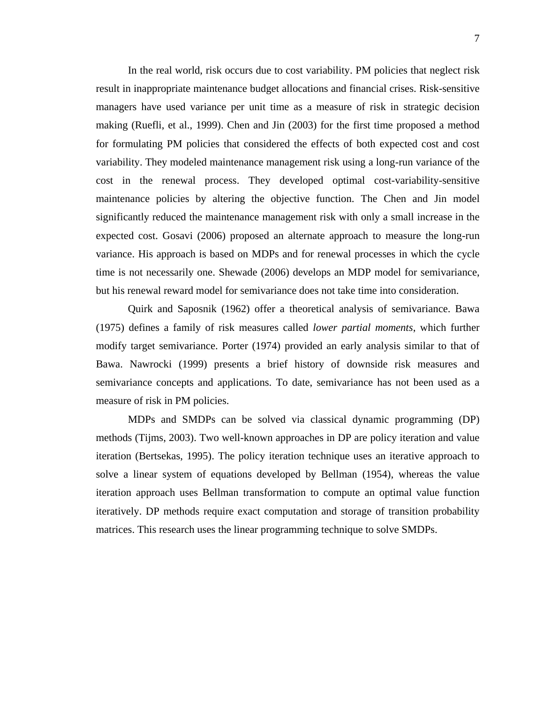In the real world, risk occurs due to cost variability. PM policies that neglect risk result in inappropriate maintenance budget allocations and financial crises. Risk-sensitive managers have used variance per unit time as a measure of risk in strategic decision making (Ruefli, et al., 1999). Chen and Jin (2003) for the first time proposed a method for formulating PM policies that considered the effects of both expected cost and cost variability. They modeled maintenance management risk using a long-run variance of the cost in the renewal process. They developed optimal cost-variability-sensitive maintenance policies by altering the objective function. The Chen and Jin model significantly reduced the maintenance management risk with only a small increase in the expected cost. Gosavi (2006) proposed an alternate approach to measure the long-run variance. His approach is based on MDPs and for renewal processes in which the cycle time is not necessarily one. Shewade (2006) develops an MDP model for semivariance, but his renewal reward model for semivariance does not take time into consideration.

Quirk and Saposnik (1962) offer a theoretical analysis of semivariance. Bawa (1975) defines a family of risk measures called *lower partial moments*, which further modify target semivariance. Porter (1974) provided an early analysis similar to that of Bawa. Nawrocki (1999) presents a brief history of downside risk measures and semivariance concepts and applications. To date, semivariance has not been used as a measure of risk in PM policies.

MDPs and SMDPs can be solved via classical dynamic programming (DP) methods (Tijms, 2003). Two well-known approaches in DP are policy iteration and value iteration (Bertsekas, 1995). The policy iteration technique uses an iterative approach to solve a linear system of equations developed by Bellman (1954), whereas the value iteration approach uses Bellman transformation to compute an optimal value function iteratively. DP methods require exact computation and storage of transition probability matrices. This research uses the linear programming technique to solve SMDPs.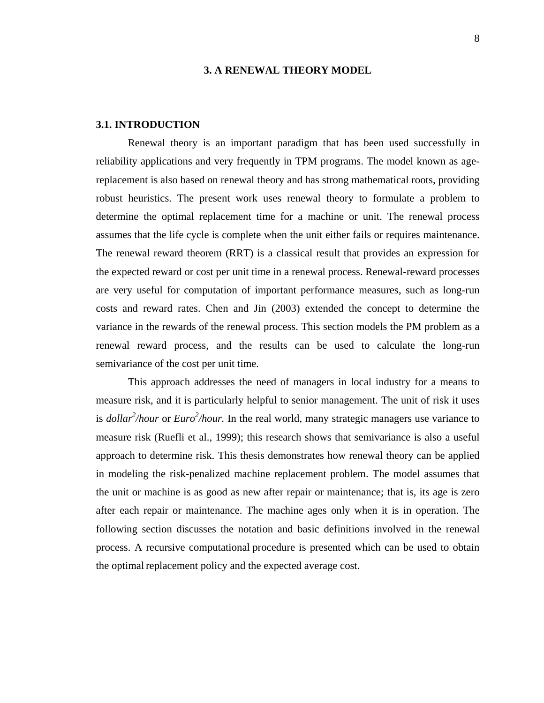#### **3. A RENEWAL THEORY MODEL**

#### <span id="page-18-1"></span><span id="page-18-0"></span>**3.1. INTRODUCTION**

Renewal theory is an important paradigm that has been used successfully in reliability applications and very frequently in TPM programs. The model known as agereplacement is also based on renewal theory and has strong mathematical roots, providing robust heuristics. The present work uses renewal theory to formulate a problem to determine the optimal replacement time for a machine or unit. The renewal process assumes that the life cycle is complete when the unit either fails or requires maintenance. The renewal reward theorem (RRT) is a classical result that provides an expression for the expected reward or cost per unit time in a renewal process. Renewal-reward processes are very useful for computation of important performance measures, such as long-run costs and reward rates. Chen and Jin (2003) extended the concept to determine the variance in the rewards of the renewal process. This section models the PM problem as a renewal reward process, and the results can be used to calculate the long-run semivariance of the cost per unit time.

This approach addresses the need of managers in local industry for a means to measure risk, and it is particularly helpful to senior management. The unit of risk it uses is *dollar<sup>2</sup> /hour* or *Euro<sup>2</sup> /hour.* In the real world, many strategic managers use variance to measure risk (Ruefli et al., 1999); this research shows that semivariance is also a useful approach to determine risk. This thesis demonstrates how renewal theory can be applied in modeling the risk-penalized machine replacement problem. The model assumes that the unit or machine is as good as new after repair or maintenance; that is, its age is zero after each repair or maintenance. The machine ages only when it is in operation. The following section discusses the notation and basic definitions involved in the renewal process. A recursive computational procedure is presented which can be used to obtain the optimal replacement policy and the expected average cost.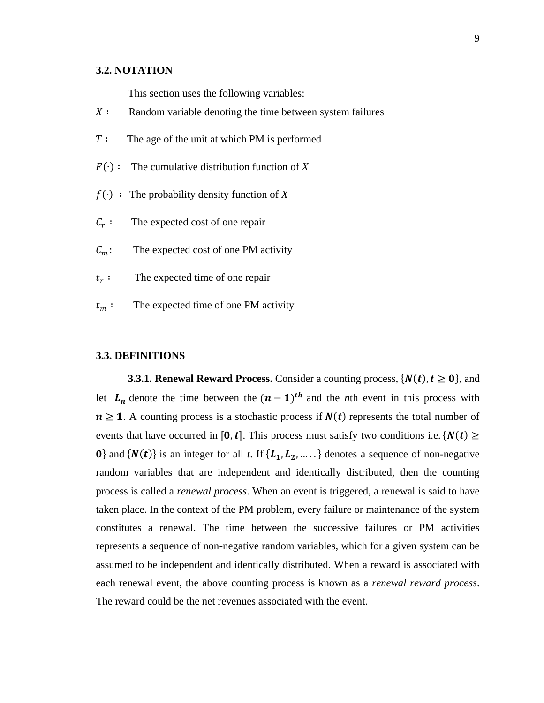#### <span id="page-19-0"></span>**3.2. NOTATION**

This section uses the following variables:

- $X:$  Random variable denoting the time between system failures
- $T:$  The age of the unit at which PM is performed
- $F(·):$  The cumulative distribution function of *X*
- $f(\cdot)$ : The probability density function of X
- $\mathcal{C}_r$ : The expected cost of one repair
- $C_m$ : The expected cost of one PM activity
- $t_r$ : The expected time of one repair
- $t_m$ : The expected time of one PM activity

#### <span id="page-19-1"></span>**3.3. DEFINITIONS**

<span id="page-19-2"></span>**3.3.1. Renewal Reward Process.** Consider a counting process,  $\{N(t), t \ge 0\}$ , and let  $L_n$  denote the time between the  $(n-1)$ <sup>th</sup> and the *n*th event in this process with  $n \geq 1$ . A counting process is a stochastic process if  $N(t)$  represents the total number of events that have occurred in [0, t]. This process must satisfy two conditions i.e.  $\{N(t) \geq \}$ **0**} and  $\{N(t)\}\$ is an integer for all *t*. If  $\{L_1, L_2, \ldots\}$  denotes a sequence of non-negative random variables that are independent and identically distributed, then the counting process is called a *renewal process*. When an event is triggered, a renewal is said to have taken place. In the context of the PM problem, every failure or maintenance of the system constitutes a renewal. The time between the successive failures or PM activities represents a sequence of non-negative random variables, which for a given system can be assumed to be independent and identically distributed. When a reward is associated with each renewal event, the above counting process is known as a *renewal reward process*. The reward could be the net revenues associated with the event.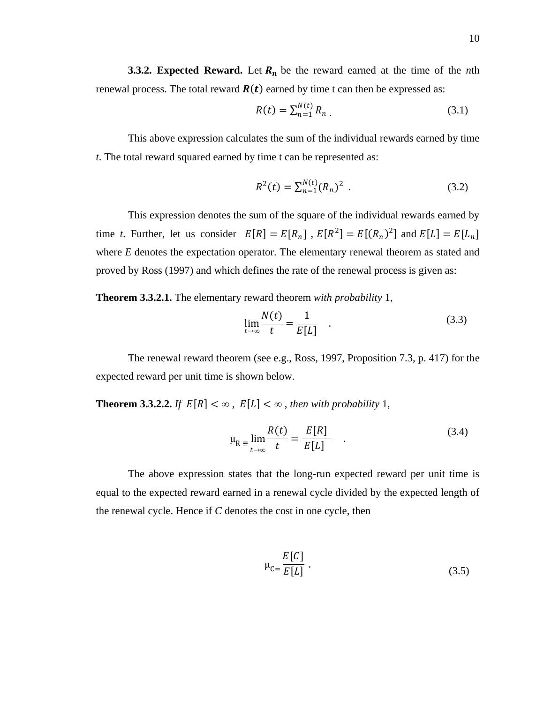<span id="page-20-0"></span>**3.3.2. Expected Reward.** Let  $R_n$  be the reward earned at the time of the *n*th renewal process. The total reward  $R(t)$  earned by time t can then be expressed as:

$$
R(t) = \sum_{n=1}^{N(t)} R_n \tag{3.1}
$$

This above expression calculates the sum of the individual rewards earned by time *t*. The total reward squared earned by time t can be represented as:

$$
R^{2}(t) = \sum_{n=1}^{N(t)} (R_{n})^{2} . \qquad (3.2)
$$

This expression denotes the sum of the square of the individual rewards earned by time *t*. Further, let us consider  $E[R] = E[R_n]$ ,  $E[R^2] = E[(R_n)^2]$  and  $E[L] = E[L_n]$ where *E* denotes the expectation operator. The elementary renewal theorem as stated and proved by Ross (1997) and which defines the rate of the renewal process is given as:

**Theorem 3.3.2.1.** The elementary reward theorem *with probability* 1,

$$
\lim_{t \to \infty} \frac{N(t)}{t} = \frac{1}{E[L]} \tag{3.3}
$$

The renewal reward theorem (see e.g., Ross, 1997, Proposition 7.3, p. 417) for the expected reward per unit time is shown below.

**Theorem 3.3.2.2.** *If*  $E[R] < \infty$ ,  $E[L] < \infty$ , then with probability 1,

$$
\mu_{\mathcal{R}} = \lim_{t \to \infty} \frac{R(t)}{t} = \frac{E[R]}{E[L]} \quad . \tag{3.4}
$$

The above expression states that the long-run expected reward per unit time is equal to the expected reward earned in a renewal cycle divided by the expected length of the renewal cycle. Hence if *C* denotes the cost in one cycle, then

$$
\mu_{\rm C} = \frac{E[C]}{E[L]} \tag{3.5}
$$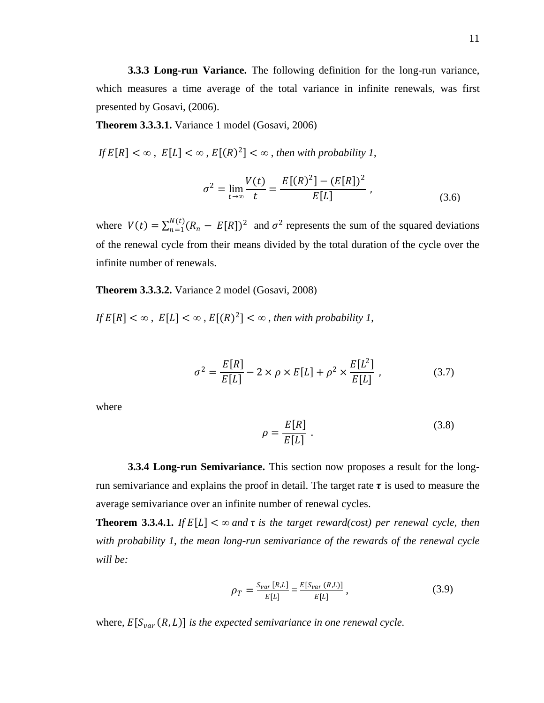<span id="page-21-0"></span>**3.3.3 Long-run Variance.** The following definition for the long-run variance, which measures a time average of the total variance in infinite renewals, was first presented by Gosavi, (2006).

**Theorem 3.3.3.1.** Variance 1 model (Gosavi, 2006)

*If*  $E[R] < \infty$ ,  $E[L] < \infty$ ,  $E[(R)^2] < \infty$ , then with probability 1,

$$
\sigma^2 = \lim_{t \to \infty} \frac{V(t)}{t} = \frac{E[(R)^2] - (E[R])^2}{E[L]} , \qquad (3.6)
$$

where  $V(t) = \sum_{n=1}^{N(t)} (R_n - E[R])^2$  and  $\sigma^2$  represents the sum of the squared deviations of the renewal cycle from their means divided by the total duration of the cycle over the infinite number of renewals.

**Theorem 3.3.3.2.** Variance 2 model (Gosavi, 2008)

*If*  $E[R] < \infty$ ,  $E[L] < \infty$ ,  $E[(R)^2] < \infty$ , then with probability 1,

$$
\sigma^2 = \frac{E[R]}{E[L]} - 2 \times \rho \times E[L] + \rho^2 \times \frac{E[L^2]}{E[L]}, \qquad (3.7)
$$

where

$$
\rho = \frac{E[R]}{E[L]} \tag{3.8}
$$

<span id="page-21-1"></span>**3.3.4 Long-run Semivariance.** This section now proposes a result for the longrun semivariance and explains the proof in detail. The target rate  $\tau$  is used to measure the average semivariance over an infinite number of renewal cycles.

**Theorem 3.3.4.1.** *If*  $E[L] < \infty$  *and*  $\tau$  *is the target reward(cost) per renewal cycle, then with probability 1, the mean long-run semivariance of the rewards of the renewal cycle will be:*

$$
\rho_T = \frac{S_{var}[R,L]}{E[L]} = \frac{E[S_{var}(R,L)]}{E[L]},
$$
\n(3.9)

where,  $E[S_{var}(R,L)]$  is the expected semivariance in one renewal cycle.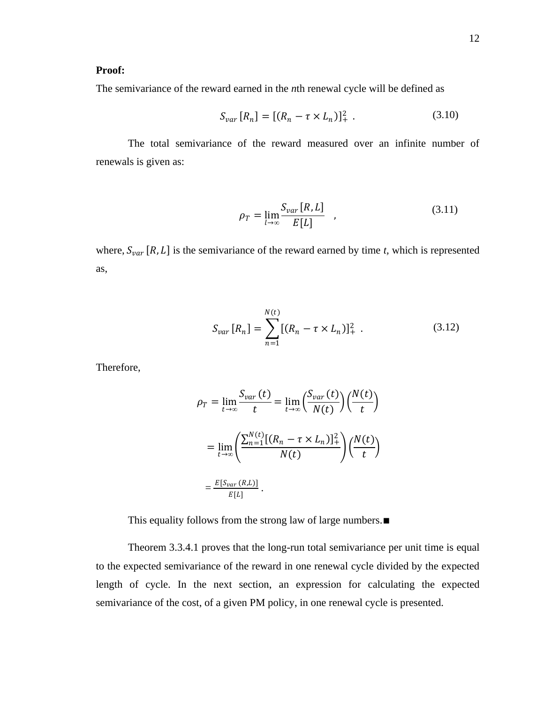#### **Proof:**

The semivariance of the reward earned in the *n*th renewal cycle will be defined as

$$
S_{var}[R_n] = [(R_n - \tau \times L_n)]_+^2 \tag{3.10}
$$

The total semivariance of the reward measured over an infinite number of renewals is given as:

$$
\rho_T = \lim_{l \to \infty} \frac{S_{var}[R, L]}{E[L]} \quad , \tag{3.11}
$$

where,  $S_{var}[R, L]$  is the semivariance of the reward earned by time *t*, which is represented as,

$$
S_{var}[R_n] = \sum_{n=1}^{N(t)} [(R_n - \tau \times L_n)]_+^2 \tag{3.12}
$$

Therefore,

$$
\rho_T = \lim_{t \to \infty} \frac{S_{var}(t)}{t} = \lim_{t \to \infty} \left(\frac{S_{var}(t)}{N(t)}\right) \left(\frac{N(t)}{t}\right)
$$

$$
= \lim_{t \to \infty} \left(\frac{\sum_{n=1}^{N(t)} [(R_n - \tau \times L_n)]_+^2}{N(t)}\right) \left(\frac{N(t)}{t}\right)
$$

$$
= \frac{E[S_{var}(R,L)]}{E[L]}.
$$

This equality follows from the strong law of large numbers.∎

Theorem 3.3.4.1 proves that the long-run total semivariance per unit time is equal to the expected semivariance of the reward in one renewal cycle divided by the expected length of cycle. In the next section, an expression for calculating the expected semivariance of the cost, of a given PM policy, in one renewal cycle is presented.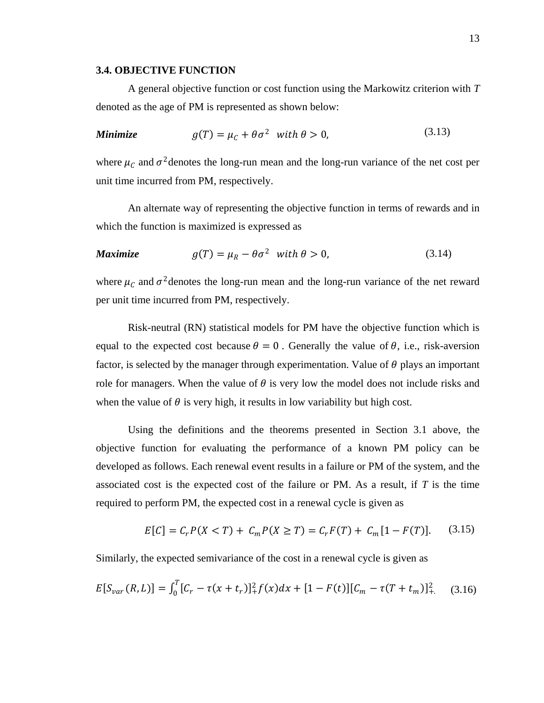#### <span id="page-23-0"></span>**3.4. OBJECTIVE FUNCTION**

A general objective function or cost function using the Markowitz criterion with *T* denoted as the age of PM is represented as shown below:

Minimize 
$$
g(T) = \mu_C + \theta \sigma^2
$$
 with  $\theta > 0$ , (3.13)

where  $\mu_c$  and  $\sigma^2$  denotes the long-run mean and the long-run variance of the net cost per unit time incurred from PM, respectively.

An alternate way of representing the objective function in terms of rewards and in which the function is maximized is expressed as

#### *Maximize*  $g(T) = \mu_R - \theta \sigma^2$  with  $\theta > 0$ , (3.14)

where  $\mu_c$  and  $\sigma^2$  denotes the long-run mean and the long-run variance of the net reward per unit time incurred from PM, respectively.

Risk-neutral (RN) statistical models for PM have the objective function which is equal to the expected cost because  $\theta = 0$ . Generally the value of  $\theta$ , i.e., risk-aversion factor, is selected by the manager through experimentation. Value of  $\theta$  plays an important role for managers. When the value of  $\theta$  is very low the model does not include risks and when the value of  $\theta$  is very high, it results in low variability but high cost.

Using the definitions and the theorems presented in Section 3.1 above, the objective function for evaluating the performance of a known PM policy can be developed as follows. Each renewal event results in a failure or PM of the system, and the associated cost is the expected cost of the failure or PM. As a result, if *T* is the time required to perform PM, the expected cost in a renewal cycle is given as

$$
E[C] = C_r P(X < T) + C_m P(X \ge T) = C_r F(T) + C_m [1 - F(T)]. \tag{3.15}
$$

Similarly, the expected semivariance of the cost in a renewal cycle is given as

$$
E[S_{var}(R,L)] = \int_0^T [C_r - \tau(x+t_r)]_+^2 f(x) dx + [1 - F(t)][C_m - \tau(T+t_m)]_+^2 \tag{3.16}
$$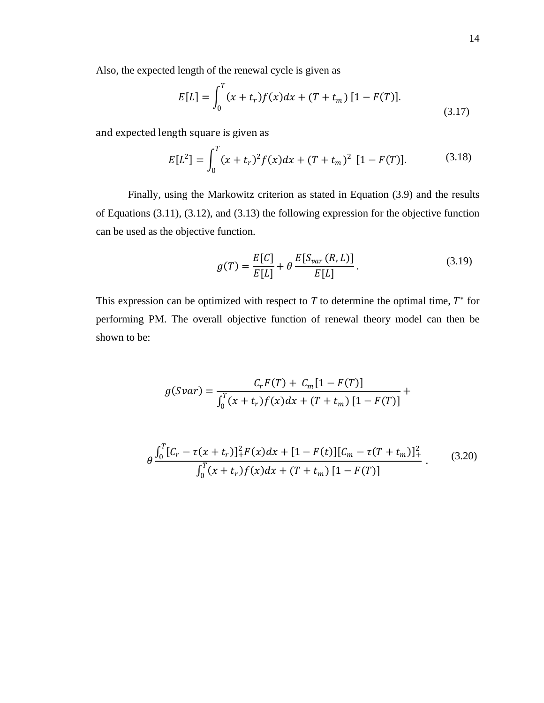$$
E[L] = \int_0^T (x + t_r) f(x) dx + (T + t_m) [1 - F(T)].
$$
\n(3.17)

and expected length square is given as

$$
E[L^{2}] = \int_{0}^{T} (x + t_{r})^{2} f(x) dx + (T + t_{m})^{2} [1 - F(T)]. \qquad (3.18)
$$

Finally, using the Markowitz criterion as stated in Equation (3.9) and the results of Equations (3.11), (3.12), and (3.13) the following expression for the objective function can be used as the objective function.

$$
g(T) = \frac{E[C]}{E[L]} + \theta \frac{E[S_{var}(R, L)]}{E[L]}.
$$
 (3.19)

This expression can be optimized with respect to  $T$  to determine the optimal time,  $T^*$  for performing PM. The overall objective function of renewal theory model can then be shown to be:

$$
g(Svar) = \frac{C_r F(T) + C_m [1 - F(T)]}{\int_0^T (x + t_r) f(x) dx + (T + t_m) [1 - F(T)]} +
$$

$$
\theta \frac{\int_0^T [C_r - \tau(x + t_r)]_+^2 F(x) dx + [1 - F(t)][C_m - \tau(T + t_m)]_+^2}{\int_0^T (x + t_r)f(x) dx + (T + t_m)[1 - F(T)]}.
$$
(3.20)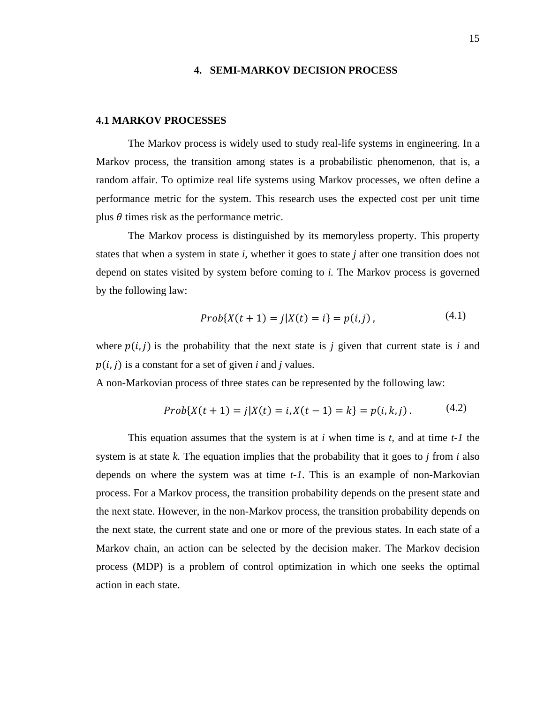#### **4. SEMI-MARKOV DECISION PROCESS**

#### <span id="page-25-1"></span><span id="page-25-0"></span>**4.1 MARKOV PROCESSES**

The Markov process is widely used to study real-life systems in engineering. In a Markov process, the transition among states is a probabilistic phenomenon, that is, a random affair. To optimize real life systems using Markov processes, we often define a performance metric for the system. This research uses the expected cost per unit time plus  $\theta$  times risk as the performance metric.

The Markov process is distinguished by its memoryless property. This property states that when a system in state *i,* whether it goes to state *j* after one transition does not depend on states visited by system before coming to *i.* The Markov process is governed by the following law:

$$
Prob{X(t + 1) = j | X(t) = i} = p(i, j),
$$
\n(4.1)

where  $p(i, j)$  is the probability that the next state is *j* given that current state is *i* and  $p(i, j)$  is a constant for a set of given *i* and *j* values.

A non-Markovian process of three states can be represented by the following law:

$$
Prob{X(t + 1) = j | X(t) = i, X(t - 1) = k} = p(i, k, j).
$$
\n(4.2)

This equation assumes that the system is at *i* when time is *t,* and at time *t-1* the system is at state  $k$ . The equation implies that the probability that it goes to  $j$  from  $i$  also depends on where the system was at time *t-1*. This is an example of non-Markovian process. For a Markov process, the transition probability depends on the present state and the next state. However, in the non-Markov process, the transition probability depends on the next state, the current state and one or more of the previous states. In each state of a Markov chain, an action can be selected by the decision maker. The Markov decision process (MDP) is a problem of control optimization in which one seeks the optimal action in each state.

(4.1)

 $\mathcal{L}$  (2)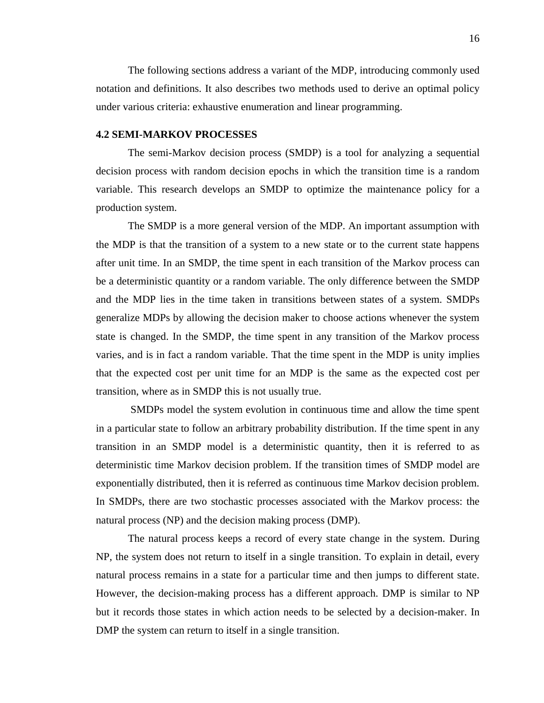The following sections address a variant of the MDP, introducing commonly used notation and definitions. It also describes two methods used to derive an optimal policy under various criteria: exhaustive enumeration and linear programming.

#### <span id="page-26-0"></span>**4.2 SEMI-MARKOV PROCESSES**

The semi-Markov decision process (SMDP) is a tool for analyzing a sequential decision process with random decision epochs in which the transition time is a random variable. This research develops an SMDP to optimize the maintenance policy for a production system.

The SMDP is a more general version of the MDP. An important assumption with the MDP is that the transition of a system to a new state or to the current state happens after unit time. In an SMDP, the time spent in each transition of the Markov process can be a deterministic quantity or a random variable. The only difference between the SMDP and the MDP lies in the time taken in transitions between states of a system. SMDPs generalize MDPs by allowing the decision maker to choose actions whenever the system state is changed. In the SMDP, the time spent in any transition of the Markov process varies, and is in fact a random variable. That the time spent in the MDP is unity implies that the expected cost per unit time for an MDP is the same as the expected cost per transition, where as in SMDP this is not usually true.

SMDPs model the system evolution in continuous time and allow the time spent in a particular state to follow an arbitrary probability distribution. If the time spent in any transition in an SMDP model is a deterministic quantity, then it is referred to as deterministic time Markov decision problem. If the transition times of SMDP model are exponentially distributed, then it is referred as continuous time Markov decision problem. In SMDPs, there are two stochastic processes associated with the Markov process: the natural process (NP) and the decision making process (DMP).

The natural process keeps a record of every state change in the system. During NP, the system does not return to itself in a single transition. To explain in detail, every natural process remains in a state for a particular time and then jumps to different state. However, the decision-making process has a different approach. DMP is similar to NP but it records those states in which action needs to be selected by a decision-maker. In DMP the system can return to itself in a single transition.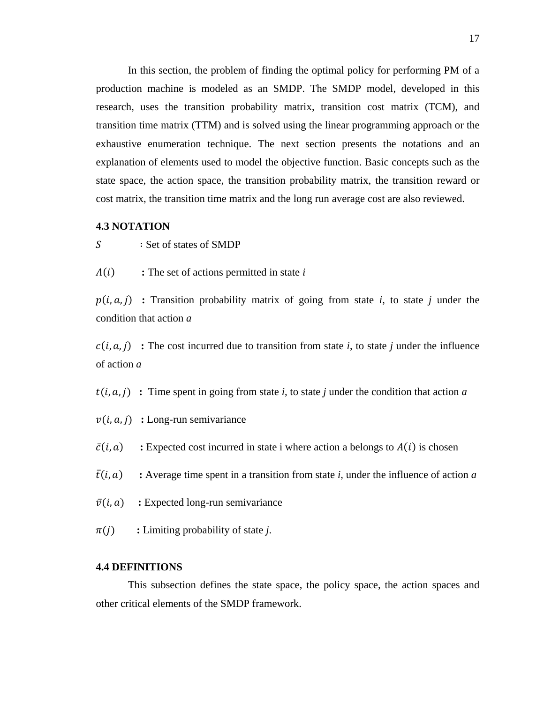In this section, the problem of finding the optimal policy for performing PM of a production machine is modeled as an SMDP. The SMDP model, developed in this research, uses the transition probability matrix, transition cost matrix (TCM), and transition time matrix (TTM) and is solved using the linear programming approach or the exhaustive enumeration technique. The next section presents the notations and an explanation of elements used to model the objective function. Basic concepts such as the state space, the action space, the transition probability matrix, the transition reward or cost matrix, the transition time matrix and the long run average cost are also reviewed.

#### <span id="page-27-0"></span>**4.3 NOTATION**

∶ Set of states of SMDP

**:** The set of actions permitted in state *i*

 $p(i, a, j)$  : Transition probability matrix of going from state *i*, to state *j* under the condition that action *a*

 $c(i, a, j)$ : The cost incurred due to transition from state *i*, to state *j* under the influence of action *a*

 $t(i, a, j)$ : Time spent in going from state *i*, to state *j* under the condition that action *a* 

 $v(i, a, j)$  : Long-run semivariance

 $\bar{c}(i, a)$  : Expected cost incurred in state i where action a belongs to  $A(i)$  is chosen

 $\bar{t}(i, a)$  : Average time spent in a transition from state *i*, under the influence of action *a* 

 $\bar{v}(i, a)$  : Expected long-run semivariance

<span id="page-27-1"></span> $\pi(j)$  : Limiting probability of state *j*.

#### **4.4 DEFINITIONS**

This subsection defines the state space, the policy space, the action spaces and other critical elements of the SMDP framework.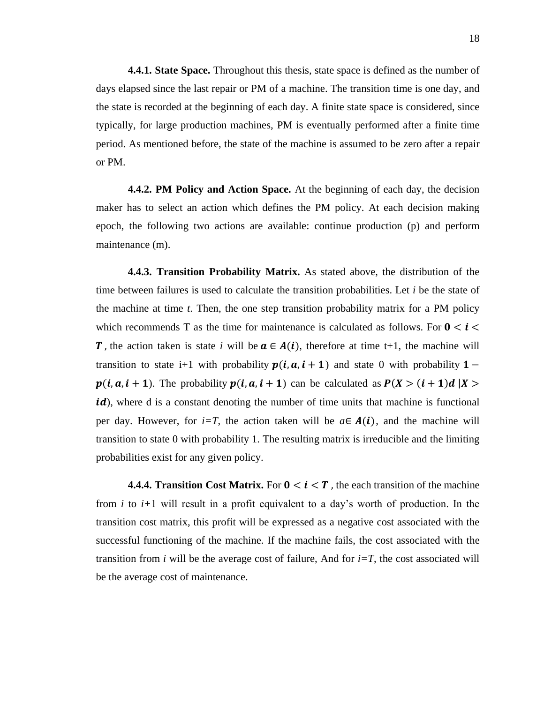<span id="page-28-0"></span>**4.4.1. State Space.** Throughout this thesis, state space is defined as the number of days elapsed since the last repair or PM of a machine. The transition time is one day, and the state is recorded at the beginning of each day. A finite state space is considered, since typically, for large production machines, PM is eventually performed after a finite time period. As mentioned before, the state of the machine is assumed to be zero after a repair or PM.

<span id="page-28-1"></span>**4.4.2. PM Policy and Action Space.** At the beginning of each day, the decision maker has to select an action which defines the PM policy. At each decision making epoch, the following two actions are available: continue production (p) and perform maintenance (m).

<span id="page-28-2"></span>**4.4.3. Transition Probability Matrix.** As stated above, the distribution of the time between failures is used to calculate the transition probabilities. Let *i* be the state of the machine at time *t*. Then, the one step transition probability matrix for a PM policy which recommends T as the time for maintenance is calculated as follows. For  $0 < i <$ **T**, the action taken is state *i* will be  $a \in A(i)$ , therefore at time t+1, the machine will transition to state i+1 with probability  $p(i, a, i + 1)$  and state 0 with probability 1 –  $p(i, a, i + 1)$ . The probability  $p(i, a, i + 1)$  can be calculated as  $P(X > (i + 1)d | X >$ id), where d is a constant denoting the number of time units that machine is functional per day. However, for *i=T*, the action taken will be  $a \in A(i)$ , and the machine will transition to state 0 with probability 1. The resulting matrix is irreducible and the limiting probabilities exist for any given policy.

<span id="page-28-3"></span>**4.4.4. Transition Cost Matrix.** For  $0 \lt i \lt T$ , the each transition of the machine from *i* to *i+*1 will result in a profit equivalent to a day's worth of production. In the transition cost matrix, this profit will be expressed as a negative cost associated with the successful functioning of the machine. If the machine fails, the cost associated with the transition from *i* will be the average cost of failure, And for  $i=T$ , the cost associated will be the average cost of maintenance.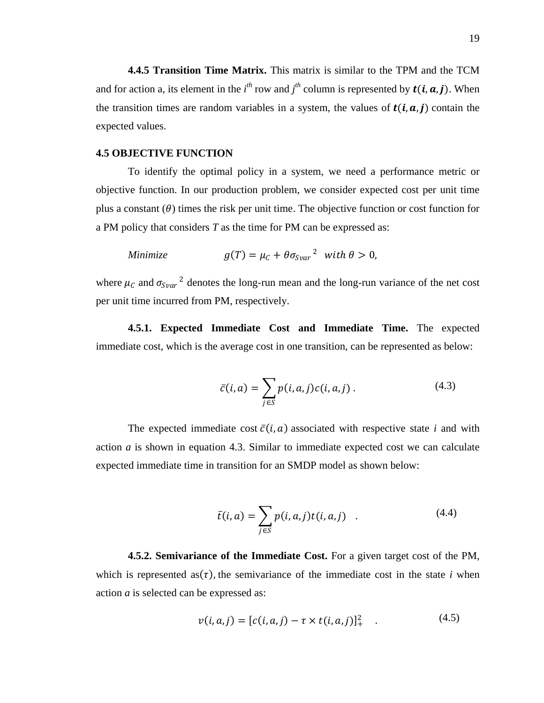<span id="page-29-0"></span>**4.4.5 Transition Time Matrix.** This matrix is similar to the TPM and the TCM and for action a, its element in the  $i^{th}$  row and  $j^{th}$  column is represented by  $t(i, a, j)$ . When the transition times are random variables in a system, the values of  $t(i, a, j)$  contain the expected values.

#### <span id="page-29-1"></span>**4.5 OBJECTIVE FUNCTION**

To identify the optimal policy in a system, we need a performance metric or objective function. In our production problem, we consider expected cost per unit time plus a constant  $(\theta)$  times the risk per unit time. The objective function or cost function for a PM policy that considers *T* as the time for PM can be expressed as:

Minimize 
$$
g(T) = \mu_C + \theta \sigma_{Svar}^2
$$
 with  $\theta > 0$ ,

where  $\mu_c$  and  $\sigma_{Svar}^2$  denotes the long-run mean and the long-run variance of the net cost per unit time incurred from PM, respectively.

<span id="page-29-2"></span>**4.5.1. Expected Immediate Cost and Immediate Time.** The expected immediate cost, which is the average cost in one transition, can be represented as below:

$$
\bar{c}(i,a) = \sum_{j \in S} p(i,a,j)c(i,a,j).
$$
 (4.3)

The expected immediate cost  $\bar{c}(i, a)$  associated with respective state *i* and with action *a* is shown in equation 4.3. Similar to immediate expected cost we can calculate expected immediate time in transition for an SMDP model as shown below:

$$
\bar{t}(i,a) = \sum_{j \in S} p(i,a,j)t(i,a,j) \quad . \tag{4.4}
$$

**4.5.2. Semivariance of the Immediate Cost.** For a given target cost of the PM, which is represented as  $(\tau)$ , the semivariance of the immediate cost in the state *i* when action *a* is selected can be expressed as:

$$
v(i, a, j) = [c(i, a, j) - \tau \times t(i, a, j)]_{+}^{2}
$$
 (4.5)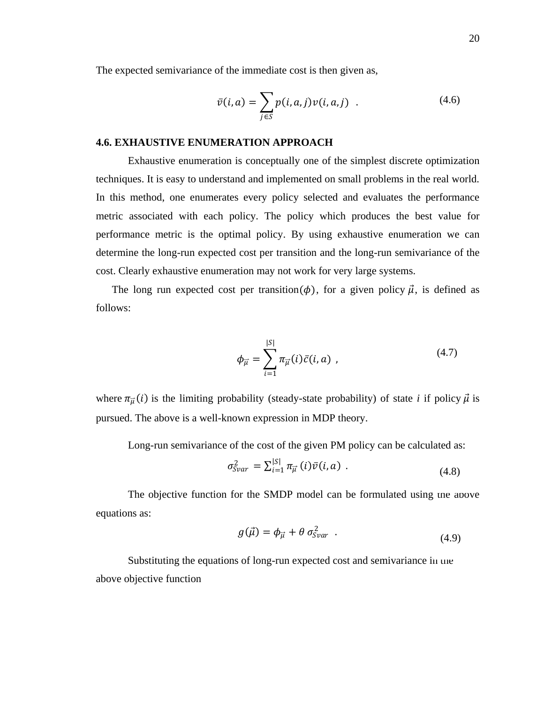The expected semivariance of the immediate cost is then given as,

$$
\bar{\nu}(i,a) = \sum_{j \in S} p(i,a,j) \nu(i,a,j) \quad . \tag{4.6}
$$

#### <span id="page-30-0"></span>**4.6. EXHAUSTIVE ENUMERATION APPROACH**

Exhaustive enumeration is conceptually one of the simplest discrete optimization techniques. It is easy to understand and implemented on small problems in the real world. In this method, one enumerates every policy selected and evaluates the performance metric associated with each policy. The policy which produces the best value for performance metric is the optimal policy. By using exhaustive enumeration we can determine the long-run expected cost per transition and the long-run semivariance of the cost. Clearly exhaustive enumeration may not work for very large systems.

The long run expected cost per transition( $\phi$ ), for a given policy  $\vec{\mu}$ , is defined as follows:

$$
\phi_{\vec{\mu}} = \sum_{i=1}^{|S|} \pi_{\vec{\mu}}(i)\bar{c}(i,a) , \qquad (4.7)
$$

where  $\pi_{\vec{\mu}}(i)$  is the limiting probability (steady-state probability) of state *i* if policy  $\vec{\mu}$  is pursued. The above is a well-known expression in MDP theory.

Long-run semivariance of the cost of the given PM policy can be calculated as:

$$
\sigma_{Svar}^2 = \sum_{i=1}^{|S|} \pi_{\vec{\mu}}(i) \bar{\nu}(i, a) \tag{4.8}
$$

The objective function for the SMDP model can be formulated using the above equations as:

$$
g(\vec{\mu}) = \phi_{\vec{\mu}} + \theta \sigma_{Svar}^2 \quad . \tag{4.9}
$$

Substituting the equations of long-run expected cost and semivariance in the above objective function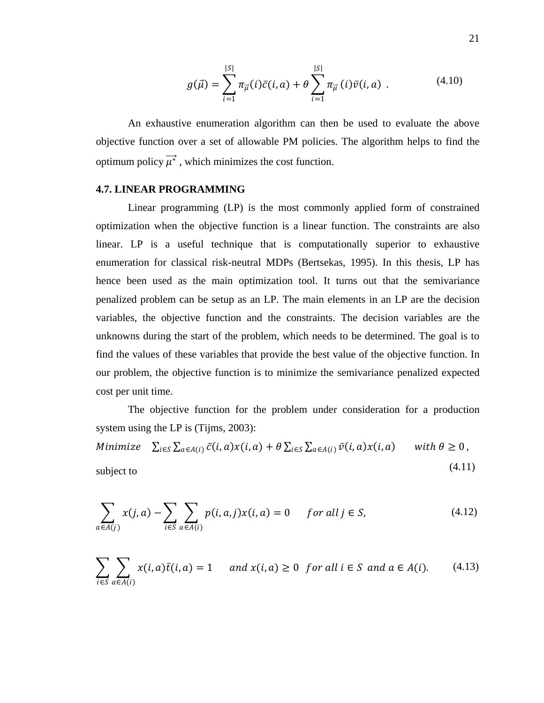$$
g(\vec{\mu}) = \sum_{i=1}^{|S|} \pi_{\vec{\mu}}(i)\bar{c}(i,a) + \theta \sum_{i=1}^{|S|} \pi_{\vec{\mu}}(i)\bar{v}(i,a) . \qquad (4.10)
$$

An exhaustive enumeration algorithm can then be used to evaluate the above objective function over a set of allowable PM policies. The algorithm helps to find the optimum policy  $\overrightarrow{\mu^*}$ , which minimizes the cost function.

#### <span id="page-31-0"></span>**4.7. LINEAR PROGRAMMING**

Linear programming (LP) is the most commonly applied form of constrained optimization when the objective function is a linear function. The constraints are also linear. LP is a useful technique that is computationally superior to exhaustive enumeration for classical risk-neutral MDPs (Bertsekas, 1995). In this thesis, LP has hence been used as the main optimization tool. It turns out that the semivariance penalized problem can be setup as an LP. The main elements in an LP are the decision variables, the objective function and the constraints. The decision variables are the unknowns during the start of the problem, which needs to be determined. The goal is to find the values of these variables that provide the best value of the objective function. In our problem, the objective function is to minimize the semivariance penalized expected cost per unit time.

The objective function for the problem under consideration for a production system using the LP is (Tijms, 2003):

Minimize 
$$
\sum_{i \in S} \sum_{a \in A(i)} \bar{c}(i, a) x(i, a) + \theta \sum_{i \in S} \sum_{a \in A(i)} \bar{v}(i, a) x(i, a)
$$
 with  $\theta \ge 0$ ,  
subject to (4.11)

$$
\sum_{a \in A(j)} x(j,a) - \sum_{i \in S} \sum_{a \in A(i)} p(i,a,j)x(i,a) = 0 \quad \text{for all } j \in S,
$$
\n(4.12)

$$
\sum_{i \in S} \sum_{a \in A(i)} x(i, a) \overline{t}(i, a) = 1 \quad \text{and } x(i, a) \ge 0 \text{ for all } i \in S \text{ and } a \in A(i). \tag{4.13}
$$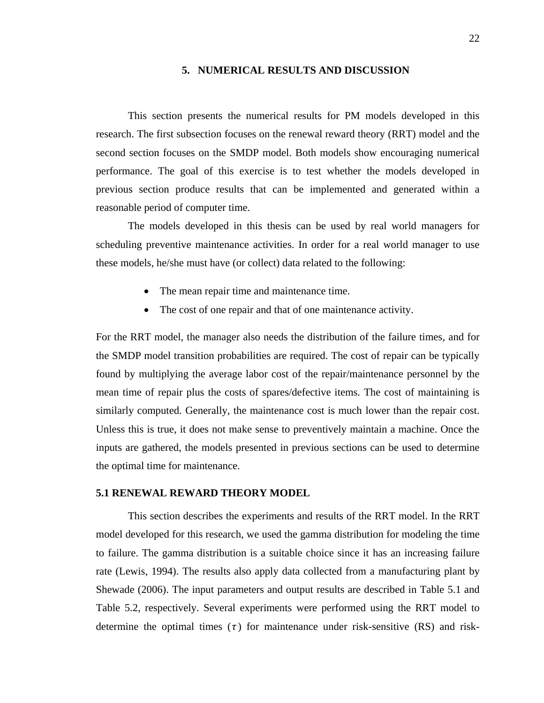#### **5. NUMERICAL RESULTS AND DISCUSSION**

<span id="page-32-0"></span>This section presents the numerical results for PM models developed in this research. The first subsection focuses on the renewal reward theory (RRT) model and the second section focuses on the SMDP model. Both models show encouraging numerical performance. The goal of this exercise is to test whether the models developed in previous section produce results that can be implemented and generated within a reasonable period of computer time.

The models developed in this thesis can be used by real world managers for scheduling preventive maintenance activities. In order for a real world manager to use these models, he/she must have (or collect) data related to the following:

- The mean repair time and maintenance time.
- The cost of one repair and that of one maintenance activity.

For the RRT model, the manager also needs the distribution of the failure times, and for the SMDP model transition probabilities are required. The cost of repair can be typically found by multiplying the average labor cost of the repair/maintenance personnel by the mean time of repair plus the costs of spares/defective items. The cost of maintaining is similarly computed. Generally, the maintenance cost is much lower than the repair cost. Unless this is true, it does not make sense to preventively maintain a machine. Once the inputs are gathered, the models presented in previous sections can be used to determine the optimal time for maintenance.

#### <span id="page-32-1"></span>**5.1 RENEWAL REWARD THEORY MODEL**

This section describes the experiments and results of the RRT model. In the RRT model developed for this research, we used the gamma distribution for modeling the time to failure. The gamma distribution is a suitable choice since it has an increasing failure rate (Lewis, 1994). The results also apply data collected from a manufacturing plant by Shewade (2006). The input parameters and output results are described in Table 5.1 and Table 5.2, respectively. Several experiments were performed using the RRT model to determine the optimal times  $(\tau)$  for maintenance under risk-sensitive (RS) and risk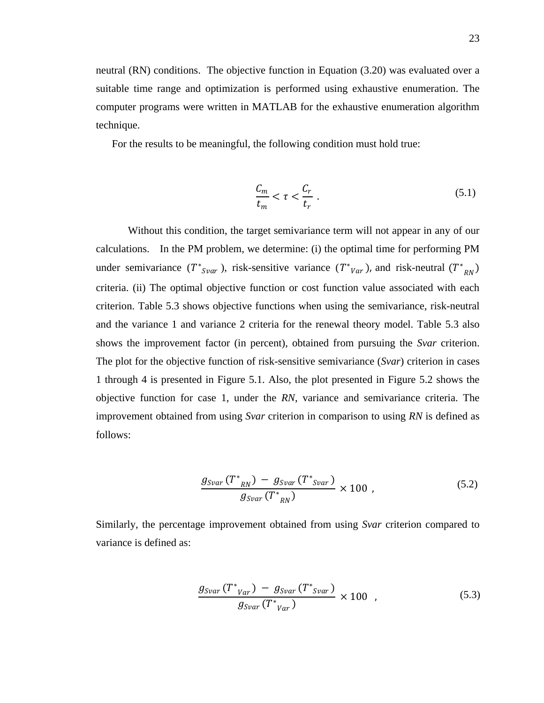neutral (RN) conditions. The objective function in Equation (3.20) was evaluated over a suitable time range and optimization is performed using exhaustive enumeration. The computer programs were written in MATLAB for the exhaustive enumeration algorithm technique.

For the results to be meaningful, the following condition must hold true:

$$
\frac{C_m}{t_m} < \tau < \frac{C_r}{t_r} \tag{5.1}
$$

Without this condition, the target semivariance term will not appear in any of our calculations. In the PM problem, we determine: (i) the optimal time for performing PM under semivariance  $(T^*_{\text{Svar}})$ , risk-sensitive variance  $(T^*_{\text{Var}})$ , and risk-neutral  $(T^*)$  $_{RN}$ ) criteria. (ii) The optimal objective function or cost function value associated with each criterion. Table 5.3 shows objective functions when using the semivariance, risk-neutral and the variance 1 and variance 2 criteria for the renewal theory model. Table 5.3 also shows the improvement factor (in percent), obtained from pursuing the *Svar* criterion. The plot for the objective function of risk-sensitive semivariance (*Svar*) criterion in cases 1 through 4 is presented in Figure 5.1. Also, the plot presented in Figure 5.2 shows the objective function for case 1, under the *RN*, variance and semivariance criteria. The improvement obtained from using *Svar* criterion in comparison to using *RN* is defined as follows:

$$
\frac{g_{Svar}(T^*_{RN}) - g_{Svar}(T^*_{Svar})}{g_{Svar}(T^*_{RN})} \times 100 , \qquad (5.2)
$$

Similarly, the percentage improvement obtained from using *Svar* criterion compared to variance is defined as:

$$
\frac{g_{Svar}(T^*_{Var}) - g_{Svar}(T^*_{Svar})}{g_{Svar}(T^*_{Var})} \times 100 , \qquad (5.3)
$$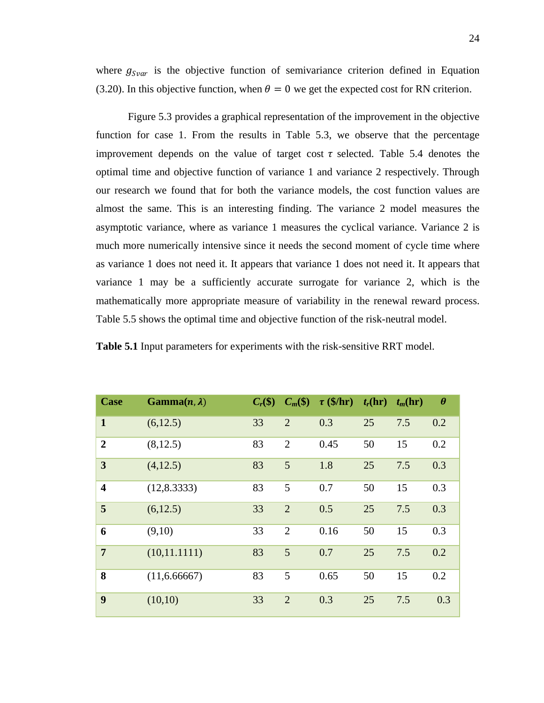where  $g_{Svar}$  is the objective function of semivariance criterion defined in Equation (3.20). In this objective function, when  $\theta = 0$  we get the expected cost for RN criterion.

Figure 5.3 provides a graphical representation of the improvement in the objective function for case 1. From the results in Table 5.3, we observe that the percentage improvement depends on the value of target cost  $\tau$  selected. Table 5.4 denotes the optimal time and objective function of variance 1 and variance 2 respectively. Through our research we found that for both the variance models, the cost function values are almost the same. This is an interesting finding. The variance 2 model measures the asymptotic variance, where as variance 1 measures the cyclical variance. Variance 2 is much more numerically intensive since it needs the second moment of cycle time where as variance 1 does not need it. It appears that variance 1 does not need it. It appears that variance 1 may be a sufficiently accurate surrogate for variance 2, which is the mathematically more appropriate measure of variability in the renewal reward process. Table 5.5 shows the optimal time and objective function of the risk-neutral model.

|  |  | <b>Table 5.1</b> Input parameters for experiments with the risk-sensitive RRT model. |  |  |  |  |  |  |  |
|--|--|--------------------------------------------------------------------------------------|--|--|--|--|--|--|--|
|--|--|--------------------------------------------------------------------------------------|--|--|--|--|--|--|--|

| <b>Case</b>             | $Gamma(n, \lambda)$ | $C_r(\$)$ | $C_m(\$)$      | $\tau$ (\$/hr) | $t_r(\mathbf{hr})$ | $t_m(\mathbf{hr})$ | $\boldsymbol{\theta}$ |
|-------------------------|---------------------|-----------|----------------|----------------|--------------------|--------------------|-----------------------|
| $\mathbf{1}$            | (6, 12.5)           | 33        | $\overline{2}$ | 0.3            | 25                 | 7.5                | 0.2                   |
| $\overline{2}$          | (8, 12.5)           | 83        | $\overline{2}$ | 0.45           | 50                 | 15                 | 0.2                   |
| $\overline{3}$          | (4, 12.5)           | 83        | 5              | 1.8            | 25                 | 7.5                | 0.3                   |
| $\overline{\mathbf{4}}$ | (12, 8.3333)        | 83        | 5              | 0.7            | 50                 | 15                 | 0.3                   |
| 5                       | (6, 12.5)           | 33        | $\overline{2}$ | 0.5            | 25                 | 7.5                | 0.3                   |
| 6                       | (9,10)              | 33        | $\overline{2}$ | 0.16           | 50                 | 15                 | 0.3                   |
| $\overline{7}$          | (10, 11.1111)       | 83        | 5              | 0.7            | 25                 | 7.5                | 0.2                   |
| 8                       | (11, 6.66667)       | 83        | 5              | 0.65           | 50                 | 15                 | 0.2                   |
| 9                       | (10,10)             | 33        | $\overline{2}$ | 0.3            | 25                 | 7.5                | 0.3                   |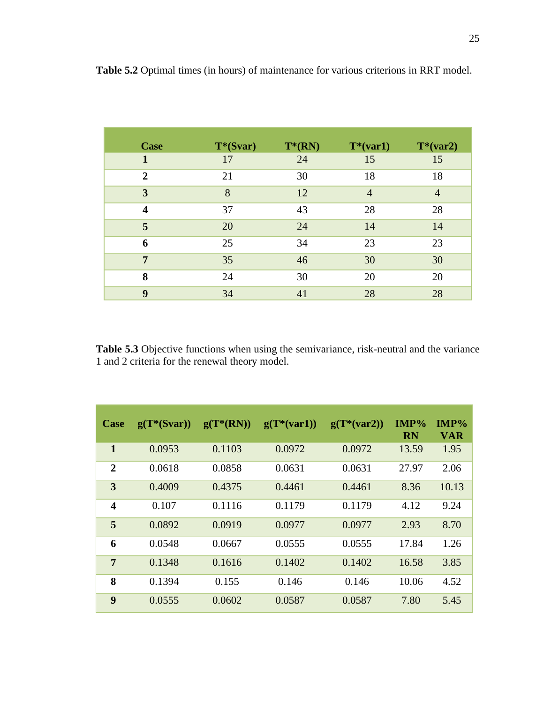| <b>Case</b>             | $T*(Svar)$ | $T^*(RN)$ | $T^*(var1)$    | $T*(var2)$     |
|-------------------------|------------|-----------|----------------|----------------|
| 1                       | 17         | 24        | 15             | 15             |
| $\overline{2}$          | 21         | 30        | 18             | 18             |
| 3                       | 8          | 12        | $\overline{4}$ | $\overline{4}$ |
| $\overline{\mathbf{4}}$ | 37         | 43        | 28             | 28             |
| 5                       | 20         | 24        | 14             | 14             |
| 6                       | 25         | 34        | 23             | 23             |
| 7                       | 35         | 46        | 30             | 30             |
| 8                       | 24         | 30        | 20             | 20             |
| 9                       | 34         | 41        | 28             | 28             |

**Table 5.2** Optimal times (in hours) of maintenance for various criterions in RRT model.

**Table 5.3** Objective functions when using the semivariance, risk-neutral and the variance 1 and 2 criteria for the renewal theory model.

| Case                    | $g(T*(Svar))$ | $g(T*(RN))$ | $g(T*(var1))$ | $g(T*(var2))$ | $IMP\%$<br><b>RN</b> | IMP%<br><b>VAR</b> |
|-------------------------|---------------|-------------|---------------|---------------|----------------------|--------------------|
| $\mathbf{1}$            | 0.0953        | 0.1103      | 0.0972        | 0.0972        | 13.59                | 1.95               |
| $\overline{2}$          | 0.0618        | 0.0858      | 0.0631        | 0.0631        | 27.97                | 2.06               |
| 3                       | 0.4009        | 0.4375      | 0.4461        | 0.4461        | 8.36                 | 10.13              |
| $\overline{\mathbf{4}}$ | 0.107         | 0.1116      | 0.1179        | 0.1179        | 4.12                 | 9.24               |
| 5                       | 0.0892        | 0.0919      | 0.0977        | 0.0977        | 2.93                 | 8.70               |
| 6                       | 0.0548        | 0.0667      | 0.0555        | 0.0555        | 17.84                | 1.26               |
| $\overline{7}$          | 0.1348        | 0.1616      | 0.1402        | 0.1402        | 16.58                | 3.85               |
| 8                       | 0.1394        | 0.155       | 0.146         | 0.146         | 10.06                | 4.52               |
| 9                       | 0.0555        | 0.0602      | 0.0587        | 0.0587        | 7.80                 | 5.45               |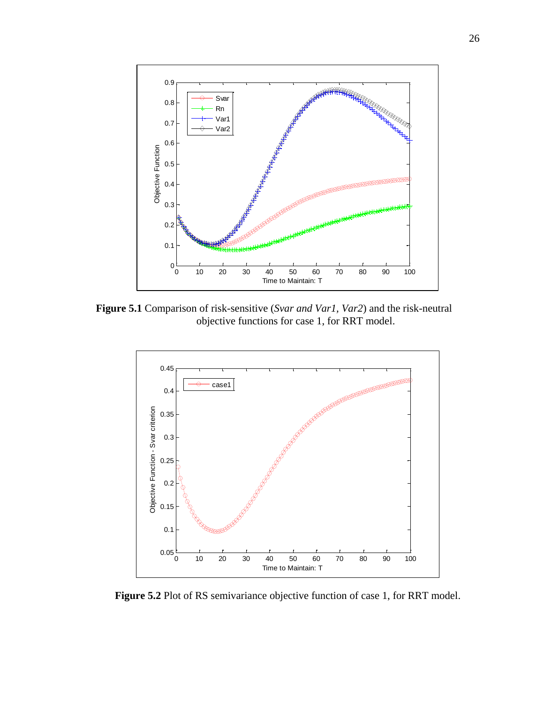

**Figure 5.1** Comparison of risk-sensitive (*Svar and Var1, Var2*) and the risk-neutral objective functions for case 1, for RRT model.



Figure 5.2 Plot of RS semivariance objective function of case 1, for RRT model.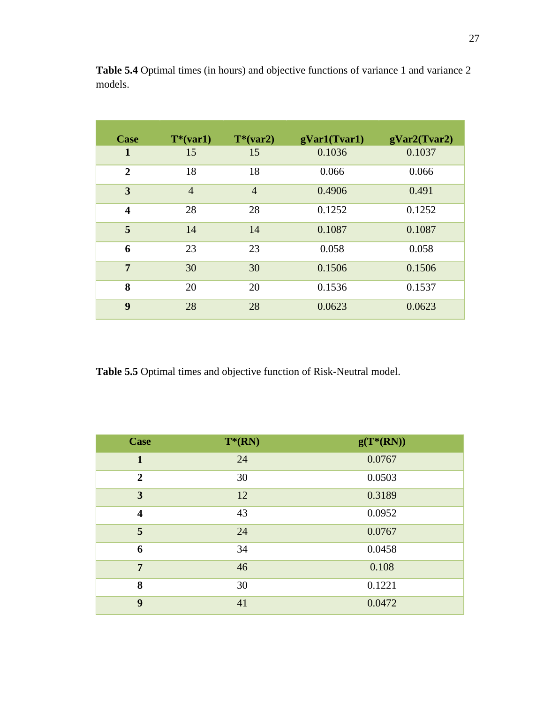| Case                    | $T^*(var1)$    | $T*(var2)$     | gVar1(Tvar1) | gVar2(Tvar2) |
|-------------------------|----------------|----------------|--------------|--------------|
| 1                       | 15             | 15             | 0.1036       | 0.1037       |
| $\overline{2}$          | 18             | 18             | 0.066        | 0.066        |
| 3                       | $\overline{4}$ | $\overline{4}$ | 0.4906       | 0.491        |
| $\overline{\mathbf{4}}$ | 28             | 28             | 0.1252       | 0.1252       |
| 5                       | 14             | 14             | 0.1087       | 0.1087       |
| 6                       | 23             | 23             | 0.058        | 0.058        |
| $\overline{7}$          | 30             | 30             | 0.1506       | 0.1506       |
| 8                       | 20             | 20             | 0.1536       | 0.1537       |
| 9                       | 28             | 28             | 0.0623       | 0.0623       |

**Table 5.4** Optimal times (in hours) and objective functions of variance 1 and variance 2 models.

**Table 5.5** Optimal times and objective function of Risk-Neutral model.

| <b>Case</b>             | $T^*(RN)$ | $g(T^*(RN))$ |
|-------------------------|-----------|--------------|
| $\mathbf{1}$            | 24        | 0.0767       |
| $\overline{2}$          | 30        | 0.0503       |
| $\overline{\mathbf{3}}$ | 12        | 0.3189       |
| $\overline{\mathbf{4}}$ | 43        | 0.0952       |
| 5                       | 24        | 0.0767       |
| 6                       | 34        | 0.0458       |
| $\overline{7}$          | 46        | 0.108        |
| 8                       | 30        | 0.1221       |
| $\boldsymbol{9}$        | 41        | 0.0472       |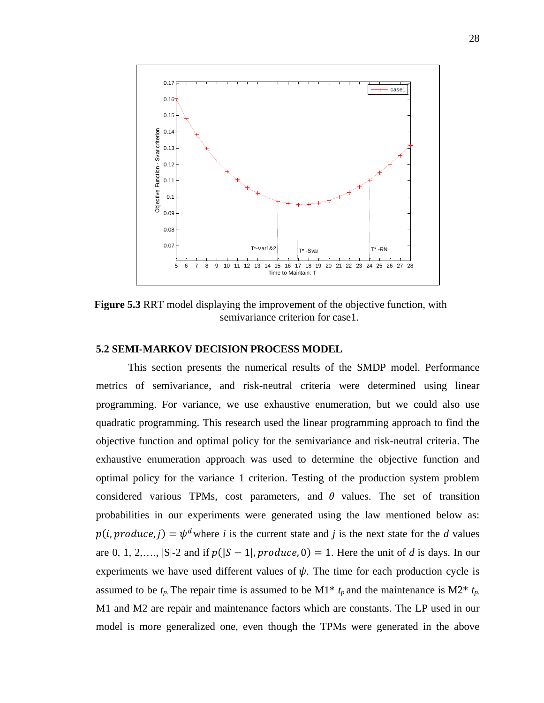

**Figure 5.3** RRT model displaying the improvement of the objective function, with semivariance criterion for case1.

#### <span id="page-38-0"></span>**5.2 SEMI-MARKOV DECISION PROCESS MODEL**

This section presents the numerical results of the SMDP model. Performance metrics of semivariance, and risk-neutral criteria were determined using linear programming. For variance, we use exhaustive enumeration, but we could also use quadratic programming. This research used the linear programming approach to find the objective function and optimal policy for the semivariance and risk-neutral criteria. The exhaustive enumeration approach was used to determine the objective function and optimal policy for the variance 1 criterion. Testing of the production system problem considered various TPMs, cost parameters, and  $\theta$  values. The set of transition probabilities in our experiments were generated using the law mentioned below as:  $p(i, produce, j) = \psi^d$  where *i* is the current state and *j* is the next state for the *d* values are 0, 1, 2,…,  $|S|-2$  and if  $p(|S-1|, produce, 0) = 1$ . Here the unit of *d* is days. In our experiments we have used different values of  $\psi$ . The time for each production cycle is assumed to be  $t_p$ . The repair time is assumed to be M1<sup>\*</sup>  $t_p$  and the maintenance is M2<sup>\*</sup>  $t_p$ . M1 and M2 are repair and maintenance factors which are constants. The LP used in our model is more generalized one, even though the TPMs were generated in the above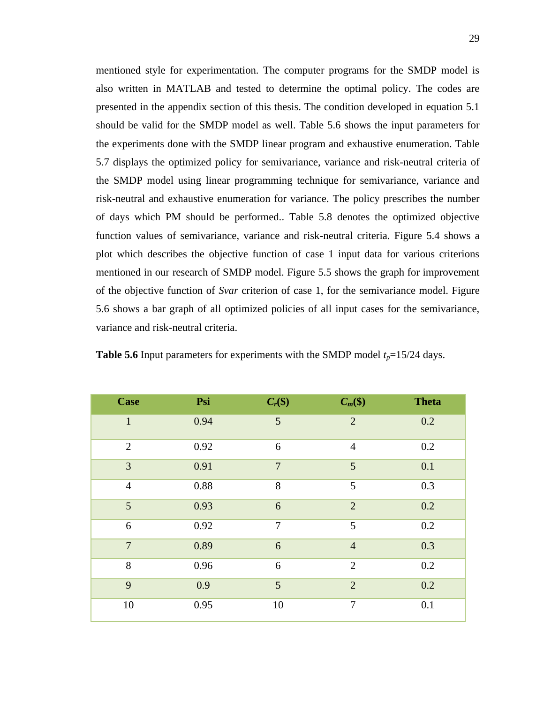mentioned style for experimentation. The computer programs for the SMDP model is also written in MATLAB and tested to determine the optimal policy. The codes are presented in the appendix section of this thesis. The condition developed in equation 5.1 should be valid for the SMDP model as well. Table 5.6 shows the input parameters for the experiments done with the SMDP linear program and exhaustive enumeration. Table 5.7 displays the optimized policy for semivariance, variance and risk-neutral criteria of the SMDP model using linear programming technique for semivariance, variance and risk-neutral and exhaustive enumeration for variance. The policy prescribes the number of days which PM should be performed.. Table 5.8 denotes the optimized objective function values of semivariance, variance and risk-neutral criteria. Figure 5.4 shows a plot which describes the objective function of case 1 input data for various criterions mentioned in our research of SMDP model. Figure 5.5 shows the graph for improvement of the objective function of *Svar* criterion of case 1, for the semivariance model. Figure 5.6 shows a bar graph of all optimized policies of all input cases for the semivariance, variance and risk-neutral criteria.

| <b>Case</b>    | Psi  | $C_r(\$)$      | $C_m(\$)$      | <b>Theta</b> |
|----------------|------|----------------|----------------|--------------|
| $\mathbf{1}$   | 0.94 | 5              | $\overline{2}$ | 0.2          |
| $\overline{2}$ | 0.92 | 6              | $\overline{4}$ | 0.2          |
| 3              | 0.91 | $\overline{7}$ | 5              | 0.1          |
| $\overline{4}$ | 0.88 | 8              | 5              | 0.3          |
| 5              | 0.93 | 6              | $\overline{2}$ | 0.2          |
| 6              | 0.92 | $\tau$         | 5              | 0.2          |
| $\overline{7}$ | 0.89 | 6              | $\overline{4}$ | 0.3          |
| 8              | 0.96 | 6              | $\overline{2}$ | 0.2          |
| 9              | 0.9  | 5              | $\overline{2}$ | 0.2          |
| 10             | 0.95 | 10             | $\tau$         | 0.1          |

**Table 5.6** Input parameters for experiments with the SMDP model  $t_p = 15/24$  days.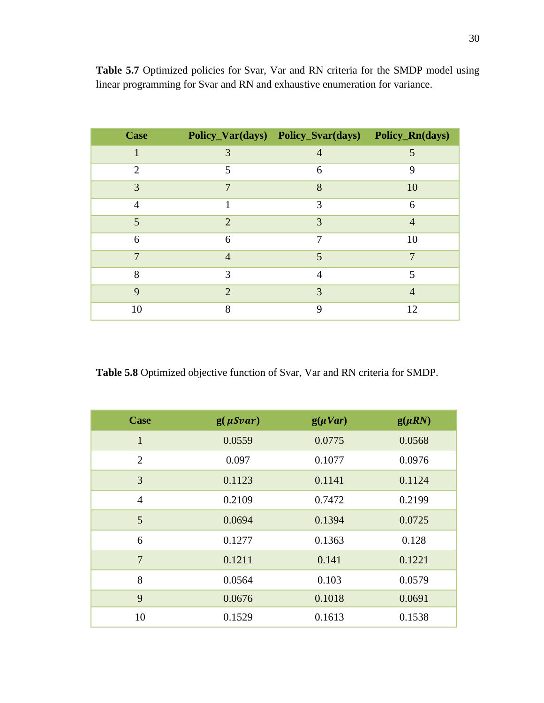| <b>Case</b>             |                             | Policy_Var(days) Policy_Svar(days) Policy_Rn(days) |                |
|-------------------------|-----------------------------|----------------------------------------------------|----------------|
|                         | 3                           | $\overline{4}$                                     | 5              |
| $\overline{2}$          | 5                           | 6                                                  | 9              |
| 3                       | 7                           | 8                                                  | 10             |
| $\overline{4}$          |                             | 3                                                  | 6              |
| $\overline{\mathbf{5}}$ | $\mathcal{D}_{\cdot}$       | 3                                                  | $\overline{4}$ |
| 6                       | 6                           | 7                                                  | 10             |
| 7                       | $\overline{4}$              | 5                                                  | 7              |
| 8                       | 3                           | 4                                                  | 5              |
| 9                       | $\mathcal{D}_{\mathcal{A}}$ | 3                                                  | $\overline{4}$ |
| 10                      | 8                           | 9                                                  | 12             |

Table 5.7 Optimized policies for Svar, Var and RN criteria for the SMDP model using linear programming for Svar and RN and exhaustive enumeration for variance.

**Table 5.8** Optimized objective function of Svar, Var and RN criteria for SMDP.

| <b>Case</b>    | $g(\mu Svar)$ | $g(\mu Var)$ | $g(\mu RN)$ |
|----------------|---------------|--------------|-------------|
| $\mathbf{1}$   | 0.0559        | 0.0775       | 0.0568      |
| 2              | 0.097         | 0.1077       | 0.0976      |
| 3              | 0.1123        | 0.1141       | 0.1124      |
| $\overline{4}$ | 0.2109        | 0.7472       | 0.2199      |
| 5              | 0.0694        | 0.1394       | 0.0725      |
| 6              | 0.1277        | 0.1363       | 0.128       |
| 7              | 0.1211        | 0.141        | 0.1221      |
| 8              | 0.0564        | 0.103        | 0.0579      |
| 9              | 0.0676        | 0.1018       | 0.0691      |
| 10             | 0.1529        | 0.1613       | 0.1538      |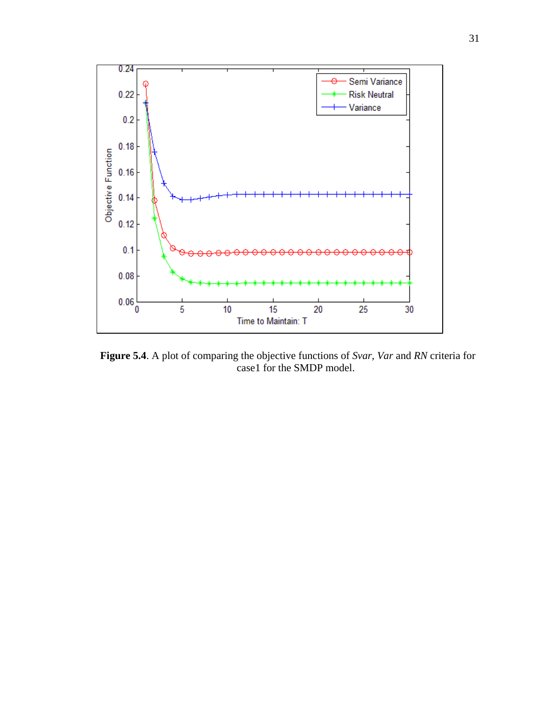

**Figure 5.4**. A plot of comparing the objective functions of *Svar, Var* and *RN* criteria for case1 for the SMDP model.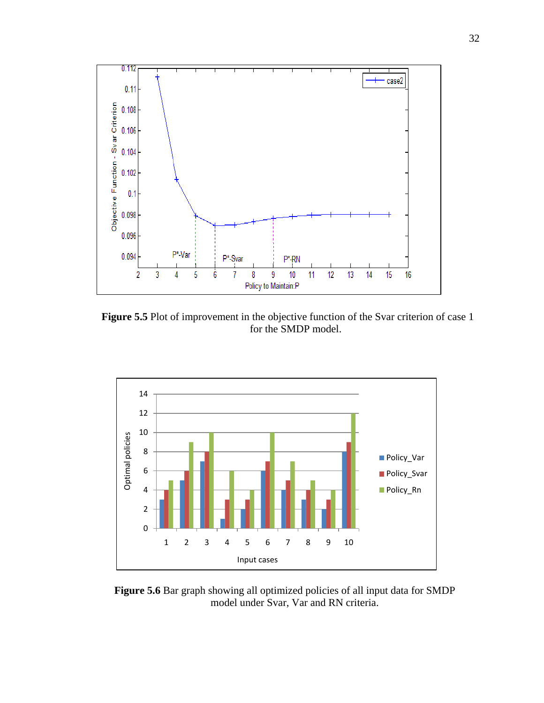

**Figure 5.5** Plot of improvement in the objective function of the Svar criterion of case 1 for the SMDP model.



Figure 5.6 Bar graph showing all optimized policies of all input data for SMDP model under Svar, Var and RN criteria.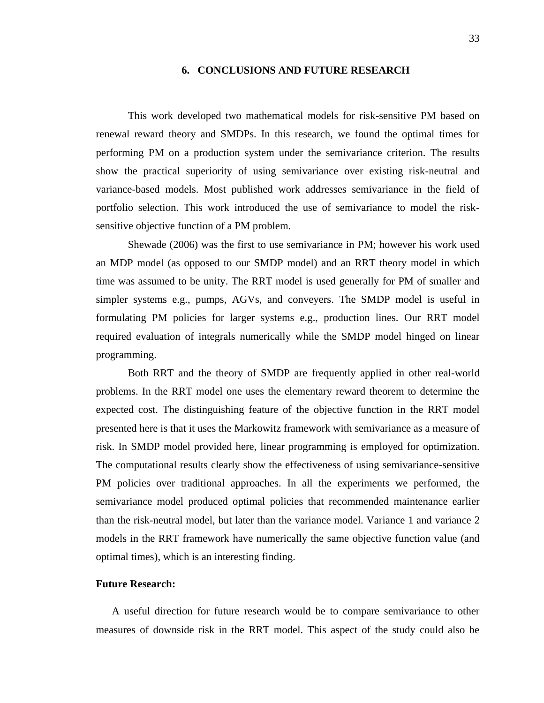#### **6. CONCLUSIONS AND FUTURE RESEARCH**

<span id="page-43-0"></span>This work developed two mathematical models for risk-sensitive PM based on renewal reward theory and SMDPs. In this research, we found the optimal times for performing PM on a production system under the semivariance criterion. The results show the practical superiority of using semivariance over existing risk-neutral and variance-based models. Most published work addresses semivariance in the field of portfolio selection. This work introduced the use of semivariance to model the risksensitive objective function of a PM problem.

Shewade (2006) was the first to use semivariance in PM; however his work used an MDP model (as opposed to our SMDP model) and an RRT theory model in which time was assumed to be unity. The RRT model is used generally for PM of smaller and simpler systems e.g., pumps, AGVs, and conveyers. The SMDP model is useful in formulating PM policies for larger systems e.g., production lines. Our RRT model required evaluation of integrals numerically while the SMDP model hinged on linear programming.

Both RRT and the theory of SMDP are frequently applied in other real-world problems. In the RRT model one uses the elementary reward theorem to determine the expected cost. The distinguishing feature of the objective function in the RRT model presented here is that it uses the Markowitz framework with semivariance as a measure of risk. In SMDP model provided here, linear programming is employed for optimization. The computational results clearly show the effectiveness of using semivariance-sensitive PM policies over traditional approaches. In all the experiments we performed, the semivariance model produced optimal policies that recommended maintenance earlier than the risk-neutral model, but later than the variance model. Variance 1 and variance 2 models in the RRT framework have numerically the same objective function value (and optimal times), which is an interesting finding.

#### **Future Research:**

A useful direction for future research would be to compare semivariance to other measures of downside risk in the RRT model. This aspect of the study could also be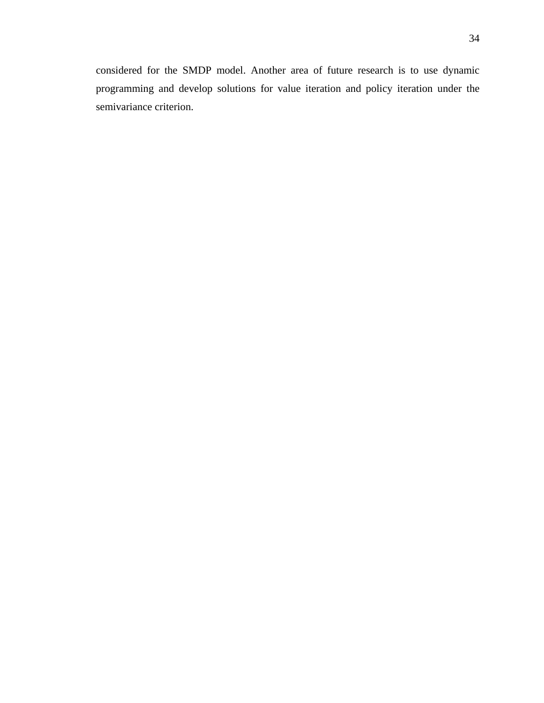<span id="page-44-0"></span>considered for the SMDP model. Another area of future research is to use dynamic programming and develop solutions for value iteration and policy iteration under the semivariance criterion.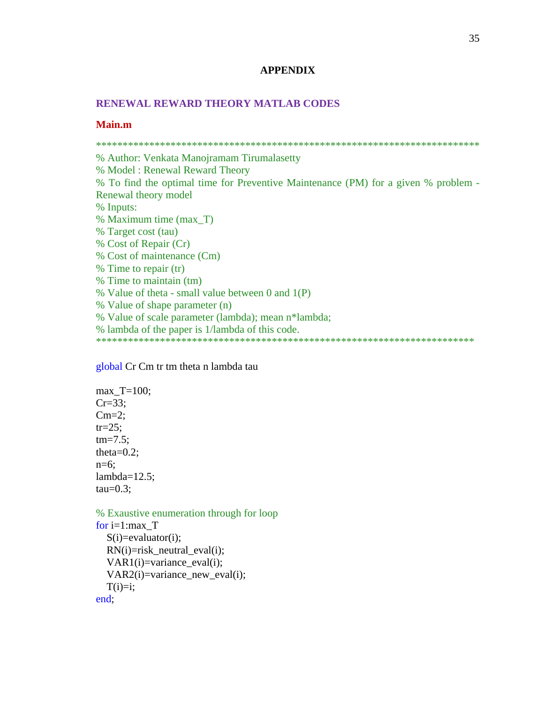#### **APPENDIX**

#### **RENEWAL REWARD THEORY MATLAB CODES**

#### **Main.m**

\*\*\*\*\*\*\*\*\*\*\*\*\*\*\*\*\*\*\*\*\*\*\*\*\*\*\*\*\*\*\*\*\*\*\*\*\*\*\*\*\*\*\*\*\*\*\*\*\*\*\*\*\*\*\*\*\*\*\*\*\*\*\*\*\*\*\*\*\*\*\*\* % Author: Venkata Manojramam Tirumalasetty % Model : Renewal Reward Theory % To find the optimal time for Preventive Maintenance (PM) for a given % problem - Renewal theory model % Inputs: % Maximum time (max\_T) % Target cost (tau) % Cost of Repair (Cr) % Cost of maintenance (Cm) % Time to repair (tr) % Time to maintain (tm) % Value of theta - small value between 0 and 1(P) % Value of shape parameter (n) % Value of scale parameter (lambda); mean n\*lambda; % lambda of the paper is 1/lambda of this code. \*\*\*\*\*\*\*\*\*\*\*\*\*\*\*\*\*\*\*\*\*\*\*\*\*\*\*\*\*\*\*\*\*\*\*\*\*\*\*\*\*\*\*\*\*\*\*\*\*\*\*\*\*\*\*\*\*\*\*\*\*\*\*\*\*\*\*\*\*\*\*

global Cr Cm tr tm theta n lambda tau

max\_T=100; Cr=33; Cm=2; tr=25; tm=7.5; theta=0.2; n=6; lambda=12.5; tau=0.3;

% Exaustive enumeration through for loop

```
for i=1:max_T
  S(i)=evaluator(i);
  RN(i)=risk neutral eval(i);
  VAR1(i)=variance eval(i);
   VAR2(i)=variance_new_eval(i);
  T(i)=i;end;
```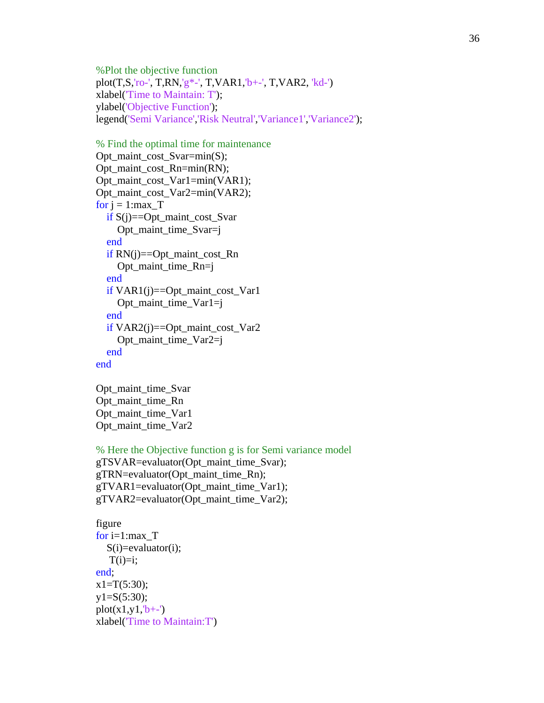%Plot the objective function plot(T,S,'ro-', T,RN,'g\*-', T,VAR1,'b+-', T,VAR2, 'kd-') xlabel('Time to Maintain: T'); ylabel('Objective Function'); legend('Semi Variance','Risk Neutral','Variance1','Variance2');

```
% Find the optimal time for maintenance
Opt_maint_cost_Svar=min(S);
Opt_maint_cost_Rn=min(RN);
Opt_maint_cost_Var1=min(VAR1);
Opt_maint_cost_Var2=min(VAR2);
for j = 1: maxT if S(j)==Opt_maint_cost_Svar
     Opt_maint_time_Svar=j
   end
   if RN(j)==Opt_maint_cost_Rn
     Opt_maint_time_Rn=j
   end
   if VAR1(j)==Opt_maint_cost_Var1
     Opt_maint_time_Var1=j
   end
  if VAR2(i) == Opt maint cost Var2 Opt_maint_time_Var2=j
   end
end
```
Opt maint time Svar Opt maint time Rn Opt\_maint\_time\_Var1 Opt maint time Var2

```
% Here the Objective function g is for Semi variance model
gTSVAR=evaluator(Opt_maint_time_Svar);
gTRN=evaluator(Opt_maint_time_Rn);
gTVAR1=evaluator(Opt_maint_time_Var1);
gTVAR2=evaluator(Opt_maint_time_Var2);
```
figure for  $i=1:max$  T  $S(i)$ =evaluator $(i)$ ;  $T(i)=i;$ end;  $x1=T(5:30);$  $y1 = S(5:30);$  $plot(x1,y1, b+-')$ xlabel('Time to Maintain:T')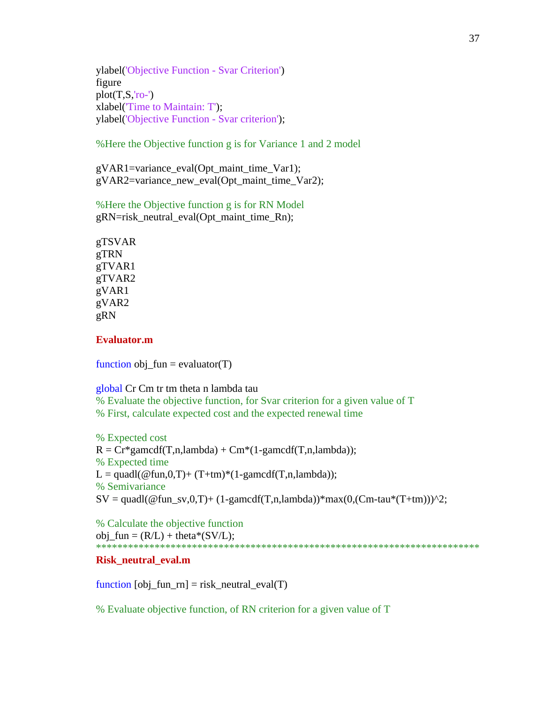ylabel('Objective Function - Svar Criterion') figure  $plot(T,S,'ro-)$ xlabel('Time to Maintain: T'); ylabel('Objective Function - Svar criterion');

%Here the Objective function g is for Variance 1 and 2 model

gVAR1=variance\_eval(Opt\_maint\_time\_Var1); gVAR2=variance\_new\_eval(Opt\_maint\_time\_Var2);

%Here the Objective function g is for RN Model gRN=risk\_neutral\_eval(Opt\_maint\_time\_Rn);

gTSVAR gTRN gTVAR1 gTVAR2 gVAR1 gVAR2 gRN

#### **Evaluator.m**

function obj\_fun = evaluator(T)

global Cr Cm tr tm theta n lambda tau

% Evaluate the objective function, for Svar criterion for a given value of T % First, calculate expected cost and the expected renewal time

% Expected cost  $R = Cr*gamcdf(T, n, lambda) + Cm*(1-gamcdf(T, n, lambda));$ % Expected time  $L = \text{quadl}(\mathcal{Q}$  fun, 0, T  $)$  + (T+tm)\*(1-gamcdf(T,n,lambda)); % Semivariance  $SV = \text{quadl}(\mathcal{Q}\text{fun}\_sv,0,T) + (1\text{-}gamcdf(T,n,\lambda))\cdot \max(0,(Cm\text{-}tau*(T+\text{tm})))^2;$ 

% Calculate the objective function obj  $fun = (R/L) + theta*(SV/L);$ \*\*\*\*\*\*\*\*\*\*\*\*\*\*\*\*\*\*\*\*\*\*\*\*\*\*\*\*\*\*\*\*\*\*\*\*\*\*\*\*\*\*\*\*\*\*\*\*\*\*\*\*\*\*\*\*\*\*\*\*\*\*\*\*\*\*\*\*\*\*\*\*

#### **Risk\_neutral\_eval.m**

function  $[obj\_fun\_rn] = risk\_neutral\_eval(T)$ 

% Evaluate objective function, of RN criterion for a given value of T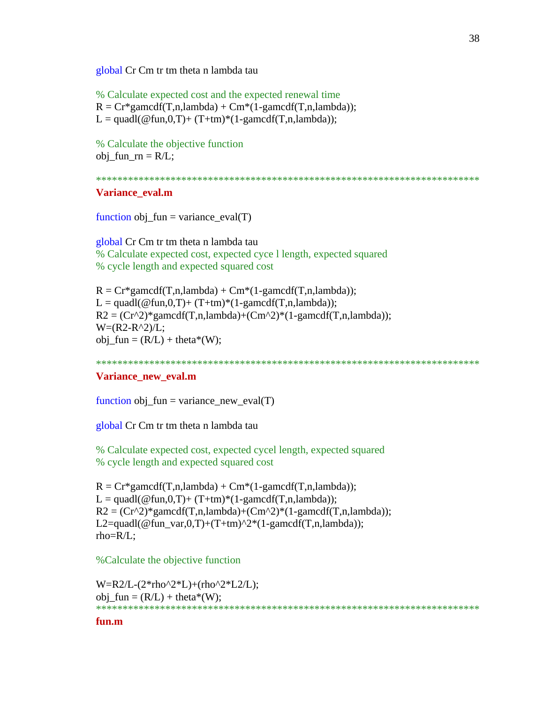global Cr Cm tr tm theta n lambda tau

% Calculate expected cost and the expected renewal time  $R = Cr*gamcdf(T, n, lambda) + Cm*(1-gamcdf(T, n, lambda));$  $L = \text{quadl}(\omega \text{ fun.} 0, T) + (T + \text{tm})^*(1-\text{gamedf}(T,\text{n,lambda})).$ 

% Calculate the objective function  $obj_fun_r = R/L;$ 

\*\*\*\*\*\*\*\*\*\*\*\*\*\*\*\*\*\*\*\*\*\*\*\*\*\*\*\*\*\*\*\*\*\*\*\*\*\*\*\*\*\*\*\*\*\*\*\*\*\*\*\*\*\*\*\*\*\*\*\*\*\*\*\*\*\*\*\*\*\*\*\*

#### **Variance\_eval.m**

function  $obj_fun = variance\_eval(T)$ 

global Cr Cm tr tm theta n lambda tau % Calculate expected cost, expected cyce l length, expected squared % cycle length and expected squared cost

 $R = Cr*gamcdf(T, n, lambda) + Cm*(1-gamcdf(T, n, lambda));$  $L = \text{quadl}(\omega \text{fun}, 0, T) + (T + \text{tm})^*(1-\text{gamedf}(T, n, \text{lambda}));$  $R2 = (Cr^2)^* \text{gamcdf}(T, n, lambda) + (Cm^2)^*(1\text{-gamcdf}(T, n, lambda));$  $W=(R2-R^2)/L;$  $obj\_fun = (R/L) + theta^*(W);$ 

\*\*\*\*\*\*\*\*\*\*\*\*\*\*\*\*\*\*\*\*\*\*\*\*\*\*\*\*\*\*\*\*\*\*\*\*\*\*\*\*\*\*\*\*\*\*\*\*\*\*\*\*\*\*\*\*\*\*\*\*\*\*\*\*\*\*\*\*\*\*\*\*

#### **Variance\_new\_eval.m**

function obj  $fun = variance new eval(T)$ 

global Cr Cm tr tm theta n lambda tau

% Calculate expected cost, expected cycel length, expected squared % cycle length and expected squared cost

 $R = Cr*gamcdf(T, n, lambda) + Cm*(1-gamcdf(T, n, lambda));$  $L = \text{quadl}(\mathcal{Q}$ fun,  $0, T$ ) + (T+tm) \* (1-gamcdf(T,n,lambda));  $R2 = (Cr^2)*\text{gamcdf}(T, n, lambda) + (Cm^2)*(1\text{-gamcdf}(T, n, lambda));$ L2=quadl( $@fun_var,0,T)+(T+tm)^2*(1-gamcdf(T,n,lambda));$ rho=R/L;

%Calculate the objective function

W=R2/L-(2\*rho^2\*L)+(rho^2\*L2/L); obj  $fun = (R/L) + theta^*(W);$ \*\*\*\*\*\*\*\*\*\*\*\*\*\*\*\*\*\*\*\*\*\*\*\*\*\*\*\*\*\*\*\*\*\*\*\*\*\*\*\*\*\*\*\*\*\*\*\*\*\*\*\*\*\*\*\*\*\*\*\*\*\*\*\*\*\*\*\*\*\*\*\*

**fun.m**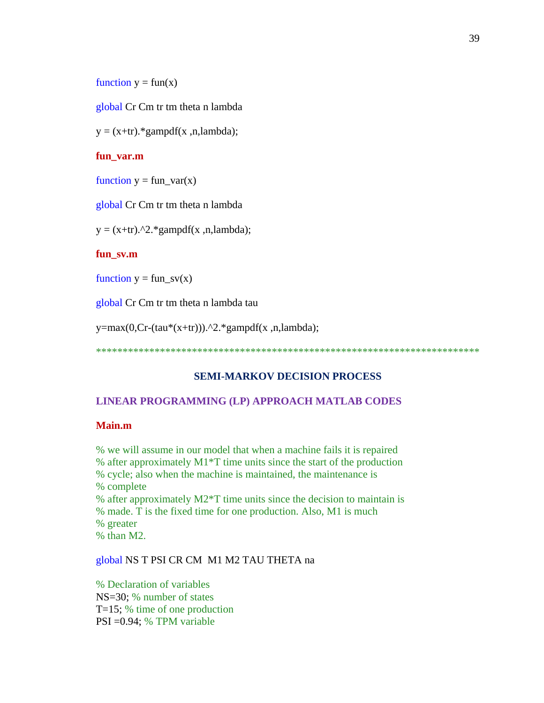function  $y = fun(x)$ 

global Cr Cm tr tm theta n lambda

 $y = (x+tr).*gampdf(x, n, lambda);$ 

#### **fun\_var.m**

function  $y = fun_{var}(x)$ 

global Cr Cm tr tm theta n lambda

 $y = (x+tr)$ .<sup>^2</sup>.\*gampdf(x ,n,lambda);

#### **fun\_sv.m**

function  $y = fun$ <sub>SV(x)</sub>

global Cr Cm tr tm theta n lambda tau

y=max(0,Cr-(tau\*(x+tr))).^2.\*gampdf(x ,n,lambda);

\*\*\*\*\*\*\*\*\*\*\*\*\*\*\*\*\*\*\*\*\*\*\*\*\*\*\*\*\*\*\*\*\*\*\*\*\*\*\*\*\*\*\*\*\*\*\*\*\*\*\*\*\*\*\*\*\*\*\*\*\*\*\*\*\*\*\*\*\*\*\*\*

#### **SEMI-MARKOV DECISION PROCESS**

#### **LINEAR PROGRAMMING (LP) APPROACH MATLAB CODES**

#### **Main.m**

% we will assume in our model that when a machine fails it is repaired % after approximately M1\*T time units since the start of the production % cycle; also when the machine is maintained, the maintenance is % complete % after approximately M2\*T time units since the decision to maintain is % made. T is the fixed time for one production. Also, M1 is much % greater % than M2.

#### global NS T PSI CR CM M1 M2 TAU THETA na

% Declaration of variables NS=30; % number of states T=15; % time of one production PSI =0.94; % TPM variable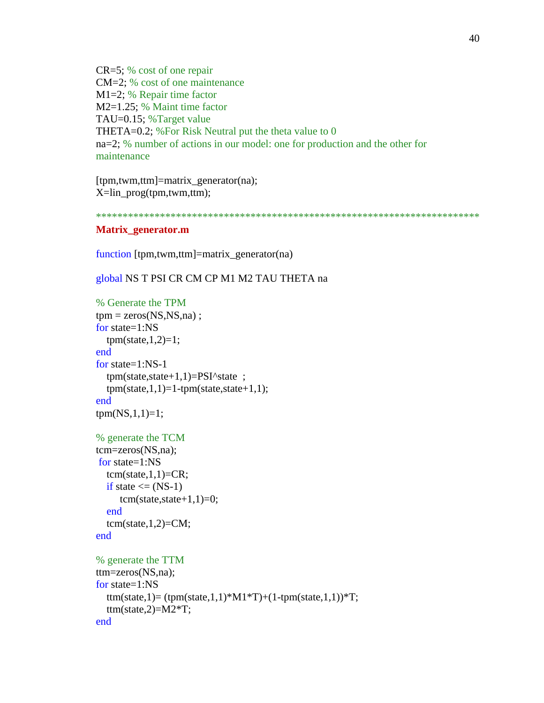CR=5; % cost of one repair CM=2; % cost of one maintenance M1=2; % Repair time factor M2=1.25; % Maint time factor TAU=0.15; %Target value THETA=0.2; %For Risk Neutral put the theta value to 0 na=2; % number of actions in our model: one for production and the other for maintenance

[tpm,twm,ttm]=matrix\_generator(na); X=lin\_prog(tpm,twm,ttm);

#### \*\*\*\*\*\*\*\*\*\*\*\*\*\*\*\*\*\*\*\*\*\*\*\*\*\*\*\*\*\*\*\*\*\*\*\*\*\*\*\*\*\*\*\*\*\*\*\*\*\*\*\*\*\*\*\*\*\*\*\*\*\*\*\*\*\*\*\*\*\*\*\*

#### **Matrix\_generator.m**

function [tpm,twm,ttm]=matrix\_generator(na)

global NS T PSI CR CM CP M1 M2 TAU THETA na

```
% Generate the TPM
tpm = zeros(NS, NS, na);
for state=1:NS
  tpm(state,1,2)=1;end
for state=1:NS-1 
   tpm(state,state+1,1)=PSI^state ; 
  tpm(state,1,1)=1-tpm(state,state+1,1);end
tpm(NS,1,1)=1;% generate the TCM
tcm=zeros(NS,na);
for state=1:NS
  tcm(state,1,1)=CR;if state \leq (NS-1)
     tem(state, state+1, 1)=0; end
  tcm(state,1,2)=CM;end
% generate the TTM
ttm=zeros(NS,na);
for state=1:NS
  ttm(state,1)= (tpm(state,1,1)*M1*T)+(1-tpm(state,1,1))*T;
  ttm(state,2)=M2*T;
end
```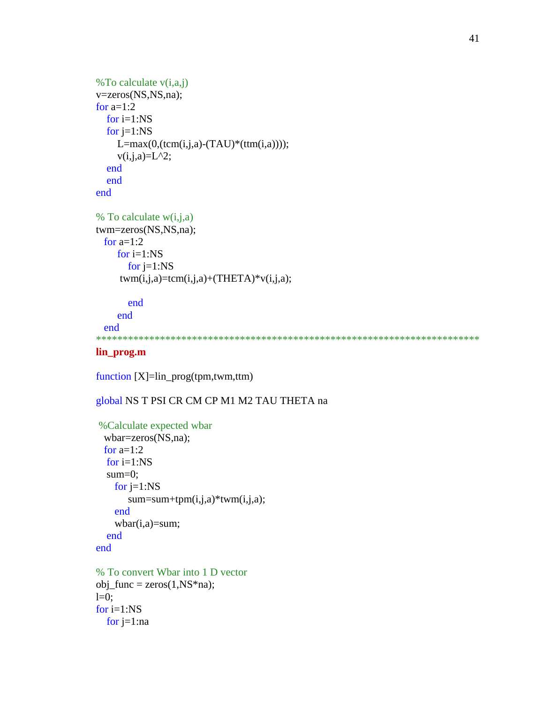```
%To calculate v(i,a,j)
v=zeros(NS,NS,na);
for a=1:2for i=1:NSfor j=1:NSL=max(0, (tcm(i,j,a)-(TAU)*(ttm(i,a))));v(i,j,a)=L^2; end
   end
end
% To calculate w(i,j,a)twm=zeros(NS,NS,na);
 for a=1:2 for i=1:NS
       for j=1:NStwm(i,j,a)=tcm(i,j,a)+(THETA)*v(i,j,a); end
```

```
 end
```

```
 end
************************************************************************
```
### **lin\_prog.m**

```
function [X]=lin_prog(tpm,twm,ttm)
```
### global NS T PSI CR CM CP M1 M2 TAU THETA na

```
%Calculate expected wbar
  wbar=zeros(NS,na);
 for a=1:2for i=1:NS sum=0;
     for j=1:NS
       sum = sum + tpm(i,j,a)*twm(i,j,a); end
    wbar(i,a)=sum; end
end
% To convert Wbar into 1 D vector
obj\_func = zeros(1, NS*na);l=0:
```

```
for i=1:NS
  for j=1:na
```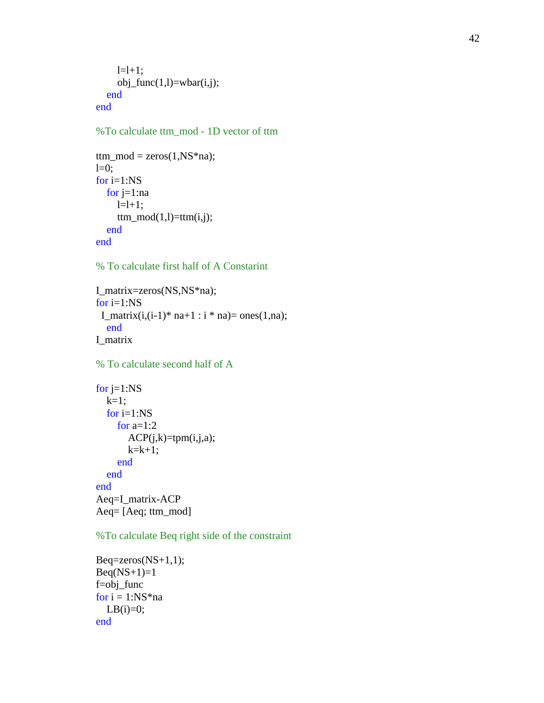```
l=l+1;obj\_func(1, l) = wbar(i, j); end
end
```
#### %To calculate ttm\_mod - 1D vector of ttm

```
ttm_model = zeros(1, NS*na);l=0:
for i=1:NS
  for j=1:nal=1+1;ttm\_mod(1,l)=ttm(i,j); end
end
```
% To calculate first half of A Constarint

```
I_matrix=zeros(NS,NS*na);
for i=1:NSI_matrix(i,(i-1)*na+1:i*na)=ones(1,na); end
I_matrix
```
% To calculate second half of A

```
for j=1:NSk=1;
   for i=1:NS
    for a=1:2ACP(j,k)=tpm(i,j,a);k=k+1;
     end
   end
end
Aeq=I_matrix
-ACP
Aeq= [Aeq; ttm_mod]
```
%To calculate Beq right side of the constraint

```
Beq = zeros(NS+1,1);Beq(NS+1)=1f=obj_func
for i = 1:NS*naLB(i)=0;end
```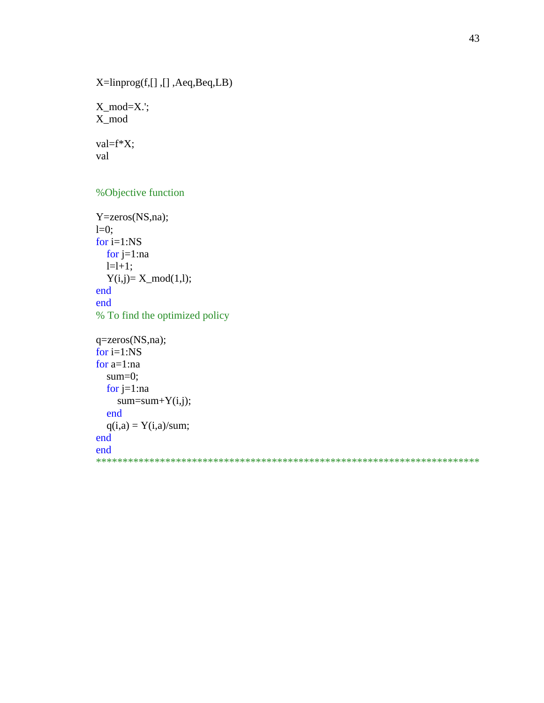X=linprog(f,[] ,[] ,Aeq,Beq,LB)

X\_mod=X.'; X\_mod

val=f\*X; val

#### %Objective function

Y=zeros(NS,na);  $l=0$ ; for i=1:NS for  $j=1:na$  $l=1+1;$  $Y(i,j)=X_{mod}(1,l);$ end end % To find the optimized policy q=zeros(NS,na); for  $i=1:NS$ for a=1:na sum=0; for j=1:na

```
sum=sum+Y(i,j); end
q(i,a) = Y(i,a)/sum;
```

```
end
end
```
\*\*\*\*\*\*\*\*\*\*\*\*\*\*\*\*\*\*\*\*\*\*\*\*\*\*\*\*\*\*\*\*\*\*\*\*\*\*\*\*\*\*\*\*\*\*\*\*\*\*\*\*\*\*\*\*\*\*\*\*\*\*\*\*\*\*\*\*\*\*\*\*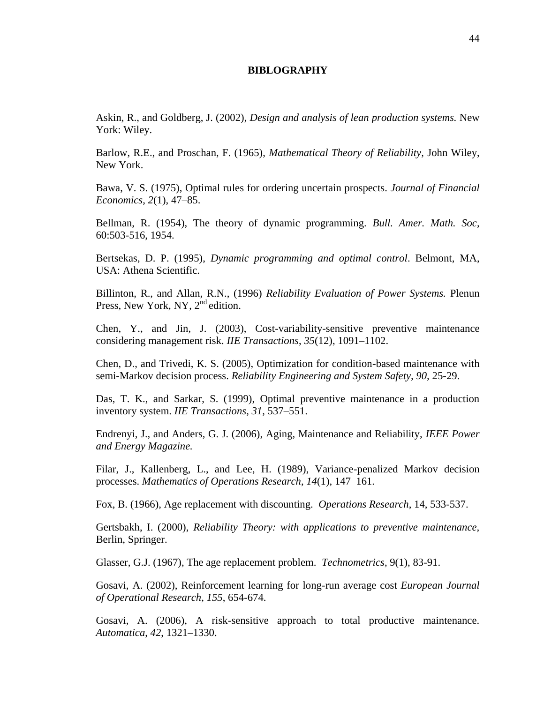#### **BIBLOGRAPHY**

<span id="page-54-0"></span>Askin, R., and Goldberg, J. (2002), *Design and analysis of lean production systems.* New York: Wiley.

Barlow, R.E., and Proschan, F. (1965), *Mathematical Theory of Reliability,* John Wiley, New York.

Bawa, V. S. (1975), Optimal rules for ordering uncertain prospects. *Journal of Financial Economics*, *2*(1), 47–85.

Bellman, R. (1954), The theory of dynamic programming. *Bull. Amer. Math. Soc,*  60:503-516, 1954.

Bertsekas, D. P. (1995), *Dynamic programming and optimal control*. Belmont, MA, USA: Athena Scientific.

Billinton, R., and Allan, R.N., (1996) *Reliability Evaluation of Power Systems.* Plenun Press, New York, NY,  $2^{nd}$  edition.

Chen, Y., and Jin, J. (2003), Cost-variability-sensitive preventive maintenance considering management risk. *IIE Transactions*, *35*(12), 1091–1102.

Chen, D., and Trivedi, K. S. (2005), Optimization for condition-based maintenance with semi-Markov decision process. *Reliability Engineering and System Safety, 90,* 25-29.

Das, T. K., and Sarkar, S. (1999), Optimal preventive maintenance in a production inventory system. *IIE Transactions*, *31*, 537–551.

Endrenyi, J., and Anders, G. J. (2006), Aging, Maintenance and Reliability, *IEEE Power and Energy Magazine.*

Filar, J., Kallenberg, L., and Lee, H. (1989), Variance-penalized Markov decision processes. *Mathematics of Operations Research*, *14*(1), 147–161.

Fox, B. (1966), Age replacement with discounting. *Operations Research*, 14, 533-537.

Gertsbakh, I. (2000), *Reliability Theory: with applications to preventive maintenance,*  Berlin, Springer.

Glasser, G.J. (1967), The age replacement problem. *Technometrics*, 9(1), 83-91.

Gosavi, A. (2002), Reinforcement learning for long-run average cost *European Journal of Operational Research*, *155*, 654-674.

Gosavi, A. (2006), A risk-sensitive approach to total productive maintenance. *Automatica*, *42*, 1321–1330.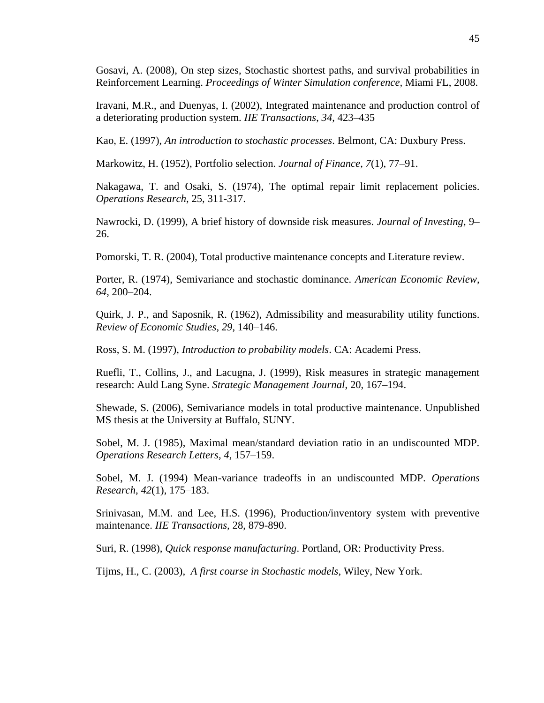Gosavi, A. (2008), On step sizes, Stochastic shortest paths, and survival probabilities in Reinforcement Learning. *Proceedings of Winter Simulation conference,* Miami FL, 2008.

Iravani, M.R., and Duenyas, I. (2002), Integrated maintenance and production control of a deteriorating production system. *IIE Transactions*, *34*, 423–435

Kao, E. (1997), *An introduction to stochastic processes*. Belmont, CA: Duxbury Press.

Markowitz, H. (1952), Portfolio selection. *Journal of Finance*, *7*(1), 77–91.

Nakagawa, T. and Osaki, S. (1974), The optimal repair limit replacement policies. *Operations Research*, 25, 311-317.

Nawrocki, D. (1999), A brief history of downside risk measures. *Journal of Investing*, 9– 26.

Pomorski, T. R. (2004), Total productive maintenance concepts and Literature review.

Porter, R. (1974), Semivariance and stochastic dominance. *American Economic Review*, *64*, 200–204.

Quirk, J. P., and Saposnik, R. (1962), Admissibility and measurability utility functions. *Review of Economic Studies*, *29*, 140–146.

Ross, S. M. (1997), *Introduction to probability models*. CA: Academi Press.

Ruefli, T., Collins, J., and Lacugna, J. (1999), Risk measures in strategic management research: Auld Lang Syne. *Strategic Management Journal*, 20, 167–194.

Shewade, S. (2006), Semivariance models in total productive maintenance. Unpublished MS thesis at the University at Buffalo, SUNY.

Sobel, M. J. (1985), Maximal mean/standard deviation ratio in an undiscounted MDP. *Operations Research Letters*, *4*, 157–159.

Sobel, M. J. (1994) Mean-variance tradeoffs in an undiscounted MDP. *Operations Research*, *42*(1), 175–183.

Srinivasan, M.M. and Lee, H.S. (1996), Production/inventory system with preventive maintenance. *IIE Transactions,* 28, 879-890.

Suri, R. (1998), *Quick response manufacturing*. Portland, OR: Productivity Press.

Tijms, H., C. (2003), *A first course in Stochastic models*, Wiley, New York.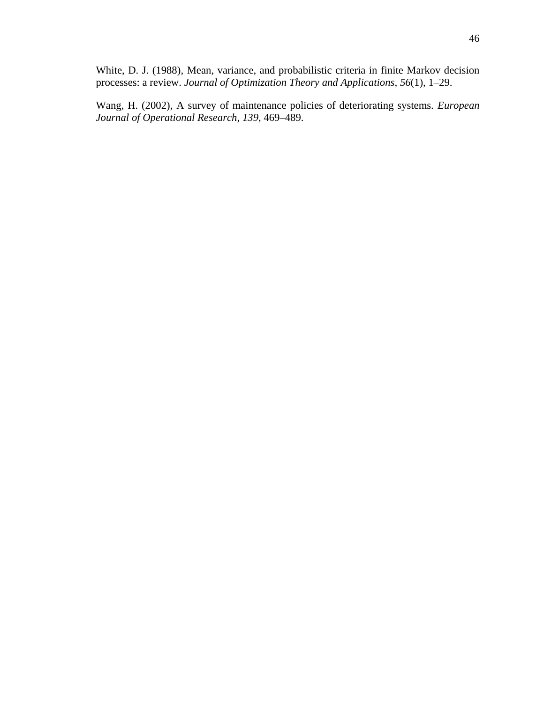White, D. J. (1988), Mean, variance, and probabilistic criteria in finite Markov decision processes: a review. *Journal of Optimization Theory and Applications*, *56*(1), 1–29.

<span id="page-56-0"></span>Wang, H. (2002), A survey of maintenance policies of deteriorating systems. *European Journal of Operational Research*, *139*, 469–489.